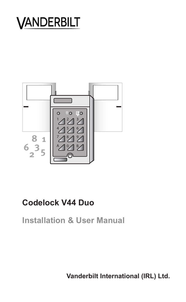



# **Codelock V44 Duo**

**Installation & User Manual**

**Vanderbilt International (IRL) Ltd.**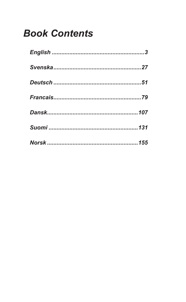# **Book Contents**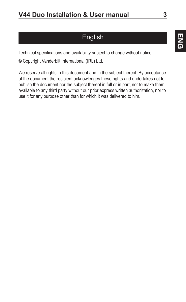<span id="page-2-0"></span>Technical specifications and availability subject to change without notice.

© Copyright Vanderbilt International (IRL) Ltd.

We reserve all rights in this document and in the subject thereof. By acceptance of the document the recipient acknowledges these rights and undertakes not to publish the document nor the subject thereof in full or in part, nor to make them available to any third party without our prior express written authorization, nor to use it for any purpose other than for which it was delivered to him.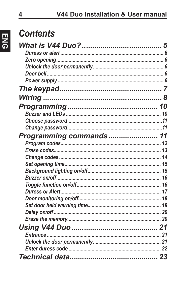# **ENG**

# **Contents**

| Programming commands 11 |  |
|-------------------------|--|
|                         |  |
|                         |  |
|                         |  |
|                         |  |
|                         |  |
|                         |  |
|                         |  |
|                         |  |
|                         |  |
|                         |  |
|                         |  |
|                         |  |
|                         |  |
|                         |  |
|                         |  |
|                         |  |
|                         |  |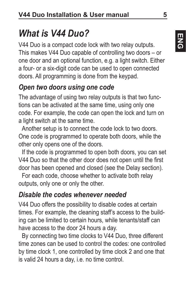# <span id="page-4-0"></span>*What is V44 Duo?*

V44 Duo is a compact code lock with two relay outputs. This makes V44 Duo capable of controlling two doors – or one door and an optional function, e.g. a light switch. Either a four- or a six-digit code can be used to open connected doors. All programming is done from the keypad.

#### *Open two doors using one code*

The advantage of using two relay outputs is that two functions can be activated at the same time, using only one code. For example, the code can open the lock and turn on a light switch at the same time.

Another setup is to connect the code lock to two doors. One code is programmed to operate both doors, while the other only opens one of the doors.

If the code is programmed to open both doors, you can set V44 Duo so that the other door does not open until the first door has been opened and closed (see the Delay section).

For each code, choose whether to activate both relay outputs, only one or only the other.

#### *Disable the codes whenever needed*

V44 Duo offers the possibility to disable codes at certain times. For example, the cleaning staff's access to the building can be limited to certain hours, while tenants/staff can have access to the door 24 hours a day.

By connecting two time clocks to V44 Duo, three different time zones can be used to control the codes: one controlled by time clock 1, one controlled by time clock 2 and one that is valid 24 hours a day, i.e. no time control.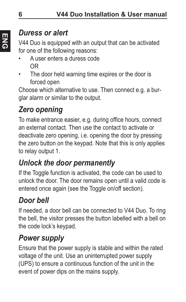## <span id="page-5-0"></span>*Duress or alert*

V44 Duo is equipped with an output that can be activated for one of the following reasons:

- A user enters a duress code OR
- The door held warning time expires or the door is forced open

Choose which alternative to use. Then connect e.g. a burglar alarm or similar to the output.

## *Zero opening*

To make entrance easier, e.g. during office hours, connect an external contact. Then use the contact to activate or deactivate zero opening, i.e. opening the door by pressing the zero button on the keypad. Note that this is only applies to relay output 1.

## *Unlock the door permanently*

If the Toggle function is activated, the code can be used to unlock the door. The door remains open until a valid code is entered once again (see the Toggle on/off section).

# *Door bell*

If needed, a door bell can be connected to V44 Duo. To ring the bell, the visitor presses the button labelled with a bell on the code lock's keypad.

# *Power supply*

Ensure that the power supply is stable and within the rated voltage of the unit. Use an uninterrupted power supply (UPS) to ensure a continuous function of the unit in the event of power dips on the mains supply.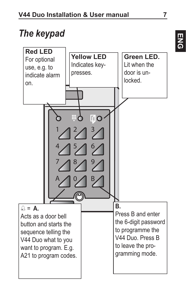# <span id="page-6-0"></span>*The keypad*

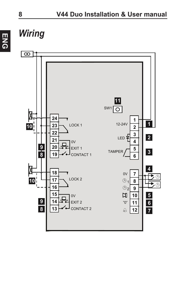<span id="page-7-0"></span>

# *Wiring*

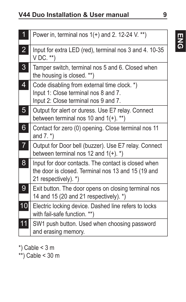| 1              | Power in, terminal nos 1(+) and 2. 12-24 V. **)                                                                                   |
|----------------|-----------------------------------------------------------------------------------------------------------------------------------|
| $\overline{2}$ | Input for extra LED (red), terminal nos 3 and 4.10-35<br>$V$ DC. $**$ )                                                           |
| 3              | Tamper switch, terminal nos 5 and 6. Closed when<br>the housing is closed. **)                                                    |
| 4              | Code disabling from external time clock. *)<br>Input 1: Close terminal nos 8 and 7.<br>Input 2: Close terminal nos 9 and 7.       |
| 5              | Output for alert or duress. Use E7 relay. Connect<br>between terminal nos 10 and $1(+)$ . **)                                     |
| 6              | Contact for zero (0) opening. Close terminal nos 11<br>and $7.*$ )                                                                |
| 7              | Output for Door bell (buzzer). Use E7 relay. Connect<br>between terminal nos 12 and $1(+)$ . *)                                   |
| 8              | Input for door contacts. The contact is closed when<br>the door is closed. Terminal nos 13 and 15 (19 and<br>21 respectively). *) |
| 9              | Exit button. The door opens on closing terminal nos<br>14 and 15 (20 and 21 respectively). *)                                     |
| 10             | Electric locking device. Dashed line refers to locks<br>with fail-safe function. **)                                              |
| 11             | SW1 push button. Used when choosing password<br>and erasing memory.                                                               |

 $*$ ) Cable < 3 m

\*\*) Cable  $<$  30 m

**ENG**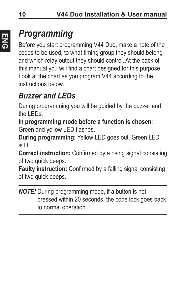# <span id="page-9-0"></span>*Programming*

Before you start programming V44 Duo, make a note of the codes to be used, to what timing group they should belong and which relay output they should control. At the back of this manual you will find a chart designed for this purpose. Look at the chart as you program V44 according to the instructions below.

## *Buzzer and LEDs*

During programming you will be guided by the buzzer and the LEDs.

**In programming mode before a function is chosen**: Green and yellow LED flashes.

**During programming:** Yellow LED goes out. Green LED is lit.

**Correct instruction:** Confirmed by a rising signal consisting of two quick beeps.

**Faulty instruction:** Confirmed by a falling signal consisting of two quick beeps.

*NOTE!* During programming mode, if a button is not pressed within 20 seconds, the code lock goes back to normal operation.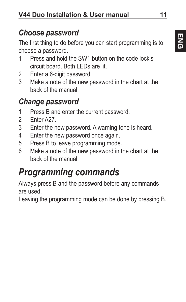#### <span id="page-10-0"></span>*Choose password*

The first thing to do before you can start programming is to choose a password.

- 1 Press and hold the SW1 button on the code lock's circuit board. Both LEDs are lit.
- 2 Enter a 6-digit password.<br>3 Make a note of the new r
- Make a note of the new password in the chart at the back of the manual.

#### *Change password*

- 1 Press B and enter the current password.
- 2 Enter A27.<br>3 Enter the n
- Enter the new password. A warning tone is heard.
- 4 Enter the new password once again.
- 5 Press B to leave programming mode.
- 6 Make a note of the new password in the chart at the back of the manual.

# *Programming commands*

Always press B and the password before any commands are used.

Leaving the programming mode can be done by pressing B.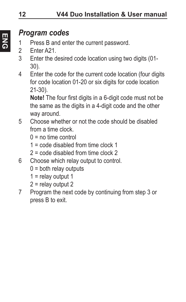# <span id="page-11-0"></span>**ENG**

#### *Program codes*

- 1 Press B and enter the current password.<br>2 Frier A21
- Enter A21
- 3 Enter the desired code location using two digits (01- 30).
- 4 Enter the code for the current code location (four digits for code location 01-20 or six digits for code location 21-30).

**Note!** The four first digits in a 6-digit code must not be the same as the digits in a 4-digit code and the other way around.

5 Choose whether or not the code should be disabled from a time clock.

 $0 =$  no time control

 $1 = \text{code disabled from time clock } 1$ 

 $2 = \text{code}$  disabled from time clock  $2$ 

- 6 Choose which relay output to control.
	- $0 =$  both relay outputs
	- $1$  = relay output 1
	- $2$  = relay output 2
- 7 Program the next code by continuing from step 3 or press B to exit.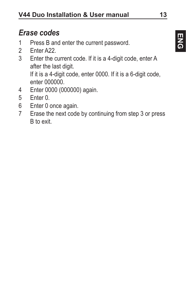#### <span id="page-12-0"></span>*Erase codes*

- 1 Press B and enter the current password.<br>2 Enter A22.
- Enter A22
- 3 Enter the current code. If it is a 4-digit code, enter A after the last digit.

If it is a 4-digit code, enter 0000. If it is a 6-digit code, enter 000000

- 4 Enter 0000 (000000) again.
- 5 Enter 0.
- 6 Enter 0 once again.<br>7 Frase the next code
- Erase the next code by continuing from step 3 or press B to exit.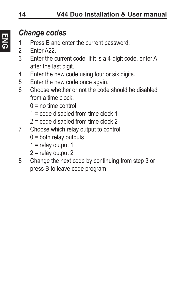#### <span id="page-13-0"></span>*Change codes*

- 1 Press B and enter the current password.<br>2 Enter A22.
- Enter A<sub>22</sub>
- 3 Enter the current code. If it is a 4-digit code, enter A after the last digit.
- 4 Enter the new code using four or six digits.<br>5 Enter the new code once again.
- 5 Enter the new code once again.<br>6 Choose whether or not the code
- 6 Choose whether or not the code should be disabled from a time clock.
	- $0 =$  no time control
	- $1 = \text{code disabled from time clock } 1$
	- $2 =$  code disabled from time clock  $2$
- 7 Choose which relay output to control.
	- $0 =$  both relay outputs
	- $1$  = relay output 1
	- $2$  = relay output 2
- 8 Change the next code by continuing from step 3 or press B to leave code program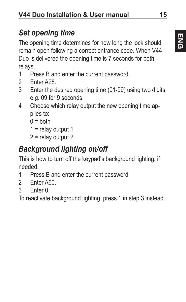#### <span id="page-14-0"></span>*Set opening time*

The opening time determines for how long the lock should remain open following a correct entrance code. When V44 Duo is delivered the opening time is 7 seconds for both relays.

- 1 Press B and enter the current password.<br>2 Friter A28
- Enter A28
- 3 Enter the desired opening time (01-99) using two digits, e.g. 09 for 9 seconds.
- 4 Choose which relay output the new opening time applies to:
	- $0 =$  hoth
	- $1$  = relay output 1
	- $2$  = relay output 2

### *Background lighting on/off*

This is how to turn off the keypad's background lighting, if needed.

- 1 Press B and enter the current password
- 2 Enter A60.
- 3 Enter 0.

To reactivate background lighting, press 1 in step 3 instead.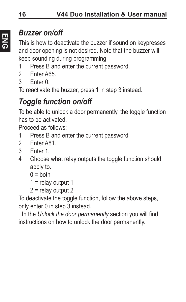# <span id="page-15-0"></span>*Buzzer on/off*

This is how to deactivate the buzzer if sound on keypresses and door opening is not desired. Note that the buzzer will keep sounding during programming.

- 1 Press B and enter the current password.
- 2 Enter A65.<br>3 Enter 0
- Enter 0.

To reactivate the buzzer, press 1 in step 3 instead.

# *Toggle function on/off*

To be able to unlock a door permanently, the toggle function has to be activated.

Proceed as follows:

- 1 Press B and enter the current password
- 2 Enter A81.
- 3 Enter 1.
- 4 Choose what relay outputs the toggle function should apply to.
	- $0 =$  hoth
	- $1$  = relav output 1
	- $2$  = relay output 2

To deactivate the toggle function, follow the above steps, only enter 0 in step 3 instead.

In the *Unlock the door permanently* section you will find instructions on how to unlock the door permanently.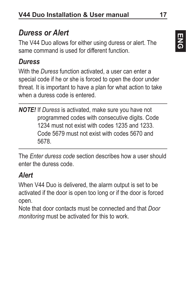#### <span id="page-16-0"></span>*Duress or Alert*

The V44 Duo allows for either using duress or alert. The same command is used for different function.

#### *Duress*

With the *Duress* function activated, a user can enter a special code if he or she is forced to open the door under threat. It is important to have a plan for what action to take when a duress code is entered.

*NOTE!* If *Duress* is activated, make sure you have not programmed codes with consecutive digits. Code 1234 must not exist with codes 1235 and 1233. Code 5679 must not exist with codes 5670 and 5678.

The *Enter duress code* section describes how a user should enter the duress code.

#### *Alert*

When V44 Duo is delivered, the alarm output is set to be activated if the door is open too long or if the door is forced open.

Note that door contacts must be connected and that *Door monitoring* must be activated for this to work.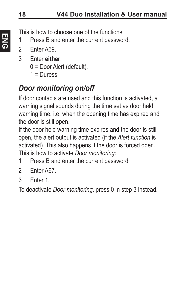<span id="page-17-0"></span>This is how to choose one of the functions:

- 1 Press B and enter the current password.
- 2 Enter A69.
- 3 Enter **either**:
	- $0 =$  Door Alert (default).
	- $1 =$  Duress

## *Door monitoring on/off*

If door contacts are used and this function is activated, a warning signal sounds during the time set as door held warning time, i.e. when the opening time has expired and the door is still open.

If the door held warning time expires and the door is still open, the alert output is activated (if the *Alert function* is activated). This also happens if the door is forced open. This is how to activate *Door monitoring*:

- 1 Press B and enter the current password
- 2 Enter A67.
- 3 Enter 1.

To deactivate *Door monitoring*, press 0 in step 3 instead.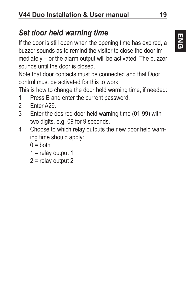#### <span id="page-18-0"></span>*Set door held warning time*

If the door is still open when the opening time has expired, a buzzer sounds as to remind the visitor to close the door immediately – or the alarm output will be activated. The buzzer sounds until the door is closed.

Note that door contacts must be connected and that Door control must be activated for this to work.

This is how to change the door held warning time, if needed:

- 1 Press B and enter the current password.
- 2 Enter A29.<br>3 Enter the d
- Enter the desired door held warning time (01-99) with two digits, e.g. 09 for 9 seconds.
- 4 Choose to which relay outputs the new door held warning time should apply:
	- $0 =$  both
	- $1$  = relav output 1
	- $2$  = relay output 2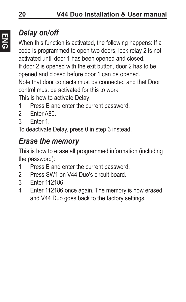# <span id="page-19-0"></span>*Delay on/off*

When this function is activated, the following happens: If a code is programmed to open two doors, lock relay 2 is not activated until door 1 has been opened and closed.

If door 2 is opened with the exit button, door 2 has to be opened and closed before door 1 can be opened.

Note that door contacts must be connected and that Door control must be activated for this to work.

This is how to activate Delay:

- 1 Press B and enter the current password.
- 2 Enter A80.<br>3 Enter 1
- 3 Enter 1.

To deactivate Delay, press 0 in step 3 instead.

# *Erase the memory*

This is how to erase all programmed information (including the password):

- 1 Press B and enter the current password.
- 2 Press SW1 on V44 Duo's circuit board.
- 3 Enter 112186.
- 4 Enter 112186 once again. The memory is now erased and V44 Duo goes back to the factory settings.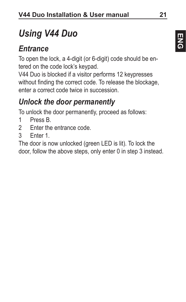# <span id="page-20-0"></span>*Using V44 Duo*

## *Entrance*

To open the lock, a 4-digit (or 6-digit) code should be entered on the code lock's keypad.

V44 Duo is blocked if a visitor performs 12 keypresses without finding the correct code. To release the blockage, enter a correct code twice in succession.

#### *Unlock the door permanently*

To unlock the door permanently, proceed as follows:

- 1 Press B.
- 2 Enter the entrance code.
- 3 Enter 1.

The door is now unlocked (green LED is lit). To lock the door, follow the above steps, only enter 0 in step 3 instead.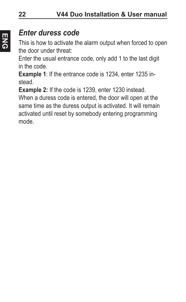## <span id="page-21-0"></span>*Enter duress code*

This is how to activate the alarm output when forced to open the door under threat:

Enter the usual entrance code, only add 1 to the last digit in the code.

**Example 1**: If the entrance code is 1234, enter 1235 instead.

**Example 2:** If the code is 1239, enter 1230 instead.

When a duress code is entered, the door will open at the same time as the duress output is activated. It will remain activated until reset by somebody entering programming mode.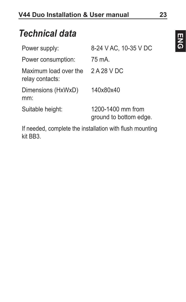# <span id="page-22-0"></span>*Technical data*

| Power supply:                            | 8-24 V AC, 10-35 V DC                       |
|------------------------------------------|---------------------------------------------|
| Power consumption:                       | 75 mA                                       |
| Maximum load over the<br>relay contacts: | 2 A 28 V DC                                 |
| Dimensions (HxWxD)<br>mm:                | 140x80x40                                   |
| Suitable height:                         | 1200-1400 mm from<br>around to bottom edge. |

If needed, complete the installation with flush mounting kit BB3.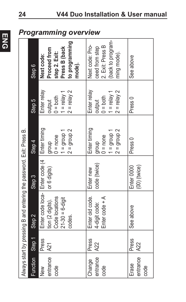**ENG**

|                            |                                | Always start by pressing B and entering the password. Exit: Press B.                                     |                                     |                                                                               |                                                                       |                                                                                           |  |
|----------------------------|--------------------------------|----------------------------------------------------------------------------------------------------------|-------------------------------------|-------------------------------------------------------------------------------|-----------------------------------------------------------------------|-------------------------------------------------------------------------------------------|--|
| Function                   | Step 1                         | Step 2                                                                                                   | Step <sub>3</sub>                   | Step 4                                                                        | Step 5                                                                | Step 6                                                                                    |  |
| entrance<br>code<br>New    | <b>Press</b><br>R <sub>1</sub> | Enter code loca- Enter code (4<br>Code locations<br>$21 - 30 = 6 - 1$ igit<br>tion (2 digits).<br>codes. | or 6 digits)                        | Enter timing<br>$2 = \text{group } 2$<br>$=$ group 1<br>$0 = none$<br>group   | Enter relay<br>$2 =$ relay 2<br>$1 =$ relay 1<br>$0 =$ both<br>output | to programming<br>Press B (back<br>Proceed from<br>step 2. Exit:<br>Next code:<br>mode).  |  |
| entrance<br>Change<br>code | Press<br><b>A22</b>            | Enter old code.<br>Enter code + A<br>4-digit code:                                                       | code (twice)<br>Enter new           | Enter timing<br>$2 = \text{group } 2$<br>$1$ dhoub $=$<br>$0 = none$<br>diorb | Enter relay<br>$2 =$ relay 2<br>$1 =$ relay 1<br>$0 =$ both<br>output | (back to program-<br>Next code: Pro-<br>2. Exit: Press B<br>ceed from step<br>ming mode). |  |
| entrance<br>Erase<br>code  | Press<br><b>A22</b>            | See above                                                                                                | <b>Enter 0000</b><br>$(00)$ (twice) | Press <sub>0</sub>                                                            | Press <sub>0</sub>                                                    | See above                                                                                 |  |

#### *Programming overview*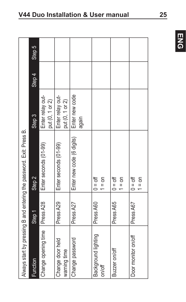|                                  |           | Always start by pressing B and entering the password. Exit: Press B. |                                     |        |          |
|----------------------------------|-----------|----------------------------------------------------------------------|-------------------------------------|--------|----------|
| <b>Function</b>                  | Step 1    | Step <sub>2</sub>                                                    | Step 3                              | Step 4 | Step $5$ |
| Change opening time              | Press A28 | Enter seconds (01-99)                                                | Enter relay out-<br>put (0, 1 or 2) |        |          |
| Change door held<br>warning time | Press A29 | Enter seconds (01-99)                                                | Enter relay out-<br>put (0, 1 or 2) |        |          |
| Change password                  | Press A27 | Enter new code (6 digits)                                            | Enter new code<br>again             |        |          |
| Background lighting<br>on/off    | Press A60 | $0 = \circ \text{ff}$<br>$1 =$ on                                    |                                     |        |          |
| Buzzer on/off                    | Press A65 | $0 = \text{off}$<br>$\frac{5}{10}$                                   |                                     |        |          |
| Door monitor on/off              | Press A67 | $0 = \text{off}$<br>$1 =$ on                                         |                                     |        |          |

**V44 Duo Installation & User manual 25**

**ENG**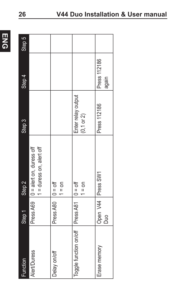| Function               | Step 1                             | Step 2                                                   | Step 3                                | Step 4                | Step 5 |
|------------------------|------------------------------------|----------------------------------------------------------|---------------------------------------|-----------------------|--------|
| <b>Alert/Duress</b>    | Press A69                          | $0 =$ alert on, duress off<br>$1 =$ duress on, alert off |                                       |                       |        |
| Delay on/off           | Press A80 $\vert 0 =$ off          | $1 =$ on                                                 |                                       |                       |        |
| Toggle function on/off | Press A81                          | $10 =$ off<br>$1 =$ on                                   | Enter relay output<br>$(0, 1$ or $2)$ |                       |        |
| Erase memory           | Open V44   Press SW1<br><b>Duo</b> |                                                          | Press 112186                          | Press 112186<br>again |        |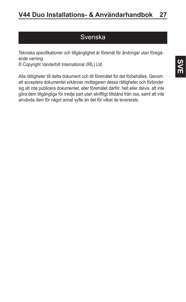#### Svenska

<span id="page-26-0"></span>Tekniska specifikationer och tillgänglighet är föremål för ändringar utan föregående varning.

© Copyright Vanderbilt International (IRL) Ltd.

Alla rättigheter till detta dokument och till föremålet för det förbehålles. Genom att acceptera dokumentet erkänner mottagaren dessa rättigheter och förbinder sig att inte publicera dokumentet, eller föremålet därför, helt eller delvis, att inte göra dem tillgängliga för tredje part utan skriftligt tillstånd från oss, samt att inte använda dem för något annat syfte än det för vilket de levererats.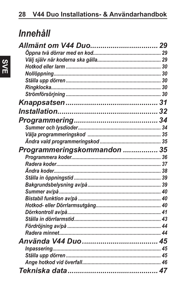# **Innehåll**

| Allmänt om V44 Duo 29       |  |
|-----------------------------|--|
|                             |  |
|                             |  |
|                             |  |
|                             |  |
|                             |  |
|                             |  |
|                             |  |
|                             |  |
|                             |  |
|                             |  |
|                             |  |
|                             |  |
|                             |  |
| Programmeringskommandon  35 |  |
|                             |  |
|                             |  |
|                             |  |
|                             |  |
|                             |  |
|                             |  |
|                             |  |
|                             |  |
|                             |  |
|                             |  |
|                             |  |
|                             |  |
|                             |  |
|                             |  |
|                             |  |
|                             |  |
|                             |  |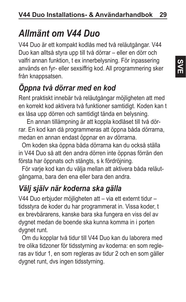# <span id="page-28-0"></span>*Allmänt om V44 Duo*

V44 Duo är ett kompakt kodlås med två reläutgångar. V44 Duo kan alltså styra upp till två dörrar – eller en dörr och valfri annan funktion, t ex innerbelysning. För inpassering används en fyr- eller sexsiffrig kod. All programmering sker från knappsatsen.

# *Öppna två dörrar med en kod*

Rent praktiskt innebär två reläutgångar möjligheten att med en korrekt kod aktivera två funktioner samtidigt. Koden kan t ex låsa upp dörren och samtidigt tända en belysning.

En annan tillämpning är att koppla kodlåset till två dörrar. En kod kan då programmeras att öppna båda dörrarna, medan en annan endast öppnar en av dörrarna.

Om koden ska öppna båda dörrarna kan du också ställa in V44 Duo så att den andra dörren inte öppnas förrän den första har öppnats och stängts, s k fördröjning.

För varje kod kan du välja mellan att aktivera båda reläutgångarna, bara den ena eller bara den andra.

## *Välj själv när koderna ska gälla*

V44 Duo erbjuder möjligheten att – via ett externt tidur – tidsstyra de koder du har programmerat in. Vissa koder, t ex brevbärarens, kanske bara ska fungera en viss del av dygnet medan de boende ska kunna komma in i porten dygnet runt.

Om du kopplar två tidur till V44 Duo kan du laborera med tre olika tidzoner för tidsstyrning av koderna: en som regleras av tidur 1, en som regleras av tidur 2 och en som gäller dygnet runt, dvs ingen tidsstyrning.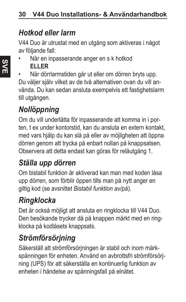#### <span id="page-29-0"></span>*Hotkod eller larm*

V44 Duo är utrustat med en utgång som aktiveras i något av följande fall:

• När en inpasserande anger en s k hotkod **ELLER**

• När dörrlarmstiden går ut eller om dörren bryts upp. Du väljer själv vilket av de två alternativen ovan du vill använda. Du kan sedan ansluta exempelvis ett fastighetslarm till utgången.

## *Nollöppning*

Om du vill underlätta för inpasserande att komma in i porten, t ex under kontorstid, kan du ansluta en extern kontakt, med vars hjälp du kan slå på eller av möjligheten att öppna dörren genom att trycka på enbart nollan på knappsatsen. Observera att detta endast kan göras för reläutgång 1.

## *Ställa upp dörren*

Om bistabil funktion är aktiverad kan man med koden låsa upp dörren, som förblir öppen tills man på nytt anger en giltig kod (se avsnittet *Bistabil funktion av/på*).

# *Ringklocka*

Det är också möjligt att ansluta en ringklocka till V44 Duo. Den besökande trycker då på knappen märkt med en ringklocka på kodlåsets knappsats.

# *Strömförsörjning*

Säkerställ att strömförsörjningen är stabil och inom märkspänningen för enheten. Använd en avbrottsfri strömförsörjning (UPS) för att säkerställa en kontinuerlig funktion av enheten i händelse av spänningsfall på elnätet.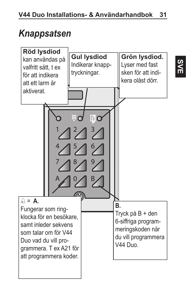## <span id="page-30-0"></span>*Knappsatsen*



**SVE**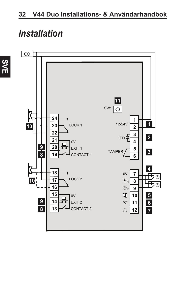# <span id="page-31-0"></span>*Installation*

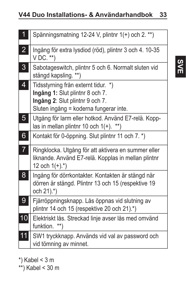**SVE**

| Spänningsmatning 12-24 V, plintnr 1(+) och 2. **)                                                                                                   |
|-----------------------------------------------------------------------------------------------------------------------------------------------------|
| Ingång för extra lysdiod (röd), plintnr 3 och 4. 10-35<br>$VDC.*')$                                                                                 |
| Sabotageswitch, plintnr 5 och 6. Normalt sluten vid<br>stängd kapsling. **)                                                                         |
| Tidsstyrning från externt tidur. *)<br>Ingång 1: Slut plintnr 8 och 7.<br>Ingång 2: Slut plintnr 9 och 7.<br>Sluten ingång = koderna fungerar inte. |
| Utgång för larm eller hotkod. Använd E7-relä. Kopp-<br>las in mellan plintnr 10 och $1(+)$ . **)                                                    |
| Kontakt för 0-öppning. Slut plintnr 11 och 7. *)                                                                                                    |
| Ringklocka. Utgång för att aktivera en summer eller<br>liknande. Använd E7-relä. Kopplas in mellan plintnr<br>12 och $1(+).^*$                      |
| Ingång för dörrkontakter. Kontakten är stängd när<br>dörren är stängd. Plintnr 13 och 15 (respektive 19<br>och 21).*)                               |
| Fjärröppningsknapp. Lås öppnas vid slutning av<br>plintnr 14 och 15 (respektive 20 och 21).*)                                                       |
| Elektriskt lås. Streckad linje avser lås med omvänd<br>funktion. **)                                                                                |
| SW1 tryckknapp. Används vid val av password och<br>vid tömning av minnet.                                                                           |
|                                                                                                                                                     |

 $*$ ) Kabel < 3 m

\*\*) Kabel < 30 m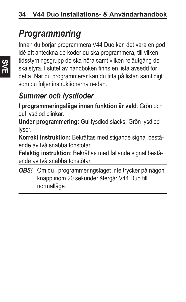# <span id="page-33-0"></span>*Programmering*

Innan du börjar programmera V44 Duo kan det vara en god idé att anteckna de koder du ska programmera, till vilken tidsstyrningsgrupp de ska höra samt vilken reläutgång de ska styra. I slutet av handboken finns en lista avsedd för detta. När du programmerar kan du titta på listan samtidigt som du följer instruktionerna nedan.

## *Summer och lysdioder*

**I programmeringsläge innan funktion är vald**: Grön och gul lysdiod blinkar.

**Under programmering:** Gul lysdiod släcks. Grön lysdiod lyser.

**Korrekt instruktion:** Bekräftas med stigande signal bestående av två snabba tonstötar.

**Felaktig instruktion**: Bekräftas med fallande signal bestående av två snabba tonstötar.

*OBS!* Om du i programmeringsläget inte trycker på någon knapp inom 20 sekunder återgår V44 Duo till normalläge.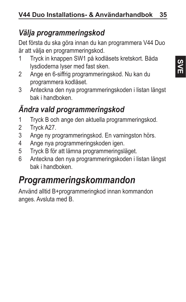## <span id="page-34-0"></span>*Välja programmeringskod*

Det första du ska göra innan du kan programmera V44 Duo är att välja en programmeringskod.

- 1 Tryck in knappen SW1 på kodlåsets kretskort. Båda lysdioderna lyser med fast sken.
- 2 Ange en 6-siffrig programmeringskod. Nu kan du programmera kodlåset.
- 3 Anteckna den nya programmeringskoden i listan längst bak i handboken.

### *Ändra vald programmeringskod*

- 1 Tryck B och ange den aktuella programmeringskod.
- Tryck A27.
- 3 Ange ny programmeringskod. En varningston hörs.
- 4 Ange nya programmeringskoden igen.
- 5 Tryck B för att lämna programmeringsläget.
- 6 Anteckna den nya programmeringskoden i listan längst bak i handboken.

# *Programmeringskommandon*

Använd alltid B+programmeringkod innan kommandon anges. Avsluta med B.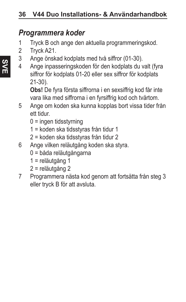#### <span id="page-35-0"></span>*Programmera koder*

- 1 Tryck B och ange den aktuella programmeringskod.
- Tryck A21.
- 3 Ange önskad kodplats med två siffror (01-30).
- 4 Ange inpasseringskoden för den kodplats du valt (fyra siffror för kodplats 01-20 eller sex siffror för kodplats 21-30).

**Obs!** De fyra första siffrorna i en sexsiffrig kod får inte vara lika med siffrorna i en fyrsiffrig kod och tvärtom.

- 5 Ange om koden ska kunna kopplas bort vissa tider från ett tidur.
	- 0 = ingen tidsstyrning
	- 1 = koden ska tidsstyras från tidur 1
	- 2 = koden ska tidsstyras från tidur 2
- 6 Ange vilken reläutgång koden ska styra.
	- 0 = båda reläutgångarna
	- 1 = reläutgång 1
	- 2 = reläutgång 2
- 7 Programmera nästa kod genom att fortsätta från steg 3 eller tryck B för att avsluta.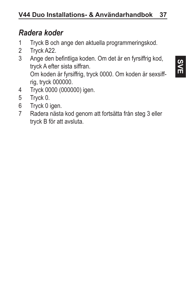#### *Radera koder*

- 1 Tryck B och ange den aktuella programmeringskod.
- 2 Tryck A22.
- 3 Ange den befintliga koden. Om det är en fyrsiffrig kod, tryck A efter sista siffran.

Om koden är fyrsiffrig, tryck 0000. Om koden är sexsiffrig, tryck 000000.

- 4 Tryck 0000 (000000) igen.
- 5 Tryck 0.
- 6 Tryck 0 igen.<br>7 Radera nästa
- 7 Radera nästa kod genom att fortsätta från steg 3 eller tryck B för att avsluta.

**SVE**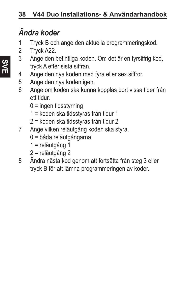### *Ändra koder*

- 1 Tryck B och ange den aktuella programmeringskod.
- 2 Tryck A22.
- 3 Ange den befintliga koden. Om det är en fyrsiffrig kod, tryck A efter sista siffran.
- 4 Ange den nya koden med fyra eller sex siffror.<br>5 Ange den nya koden jgen.
- 5 Ange den nya koden igen.<br>6 Ange om koden ska kunna
- Ange om koden ska kunna kopplas bort vissa tider från ett tidur.
	- 0 = ingen tidsstyrning
	- 1 = koden ska tidsstyras från tidur 1
	- 2 = koden ska tidsstyras från tidur 2
- 7 Ange vilken reläutgång koden ska styra.
	- 0 = båda reläutgångarna
	- 1 = reläutgång 1
	- 2 = reläutgång 2
- 8 Ändra nästa kod genom att fortsätta från steg 3 eller tryck B för att lämna programmeringen av koder.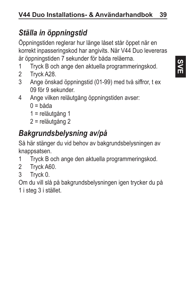### *Ställa in öppningstid*

Öppningstiden reglerar hur länge låset står öppet när en korrekt inpasseringskod har angivits. När V44 Duo levereras är öppningstiden 7 sekunder för båda reläerna.

- 1 Tryck B och ange den aktuella programmeringskod.
- 2 Tryck A28.<br>3 Ange önsk
- 3 Ange önskad öppningstid (01-99) med två siffror, t ex 09 för 9 sekunder.
- 4 Ange vilken reläutgång öppningstiden avser:
	- $0 = h$ åda
	- 1 = reläutgång 1
	- 2 = reläutgång 2

### *Bakgrundsbelysning av/på*

Så här stänger du vid behov av bakgrundsbelysningen av knappsatsen.

- 1 Tryck B och ange den aktuella programmeringskod.
- Tryck A60.
- 3 Tryck 0.

Om du vill slå på bakgrundsbelysningen igen trycker du på 1 i steg 3 i stället.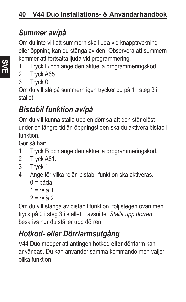### *Summer av/på*

Om du inte vill att summern ska ljuda vid knapptryckning eller öppning kan du stänga av den. Observera att summern kommer att fortsätta ljuda vid programmering.

- 1 Tryck B och ange den aktuella programmeringskod.
- 2 Tryck A65.
- 3 Tryck 0.

Om du vill slå på summern igen trycker du på 1 i steg 3 i stället.

#### *Bistabil funktion av/på*

Om du vill kunna ställa upp en dörr så att den står olåst under en längre tid än öppningstiden ska du aktivera bistabil funktion.

Gör så här:

- 1 Tryck B och ange den aktuella programmeringskod.
- 2 Tryck A81.
- 3 Tryck 1.
- 4 Ange för vilka relän bistabil funktion ska aktiveras.
	- $0 = h$ åda
	- 1 =  $relä 1$
	- $2 =$ relä 2

Om du vill stänga av bistabil funktion, följ stegen ovan men tryck på 0 i steg 3 i stället. I avsnittet *Ställa upp dörren* beskrivs hur du ställer upp dörren.

### *Hotkod- eller Dörrlarmsutgång*

V44 Duo medger att antingen hotkod **eller** dörrlarm kan användas. Du kan använder samma kommando men väljer olika funktion.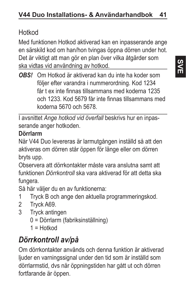#### Hotkod

Med funktionen Hotkod aktiverad kan en inpasserande ange en särskild kod om han/hon tvingas öppna dörren under hot. Det är viktigt att man gör en plan över vilka åtgärder som ska vidtas vid användning av hotkod.

*OBS!* Om Hotkod är aktiverad kan du inte ha koder som följer efter varandra i nummerordning. Kod 1234 får t ex inte finnas tillsammans med koderna 1235 och 1233. Kod 5679 får inte finnas tillsammans med koderna 5670 och 5678.

I avsnittet *Ange hotkod vid överfall* beskrivs hur en inpasserande anger hotkoden.

#### **Dörrlarm**

När V44 Duo levereras är larmutgången inställd så att den aktiveras om dörren står öppen för länge eller om dörren bryts upp.

Observera att dörrkontakter måste vara anslutna samt att funktionen *Dörrkontroll* ska vara aktiverad för att detta ska fungera.

Så här väljer du en av funktionerna:

- 1 Tryck B och ange den aktuella programmeringskod.
- 2 Tryck A69.<br>3 Tryck antin
- Tryck antingen
	- 0 = Dörrlarm (fabriksinställning)
	- $1 = H$ otkod

### *Dörrkontroll av/på*

Om dörrkontakter används och denna funktion är aktiverad ljuder en varningssignal under den tid som är inställd som dörrlarmstid, dvs när öppningstiden har gått ut och dörren fortfarande är öppen.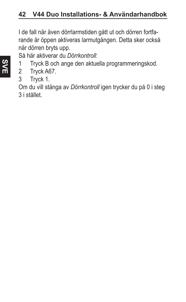I de fall när även dörrlarmstiden gått ut och dörren fortfarande är öppen aktiveras larmutgången. Detta sker också när dörren bryts upp.

Så här aktiverar du *Dörrkontroll*:

- 1 Tryck B och ange den aktuella programmeringskod.
- 2 Tryck A67.<br>3 Tryck 1
- Tryck 1.

Om du vill stänga av *Dörrkontroll* igen trycker du på 0 i steg 3 i stället.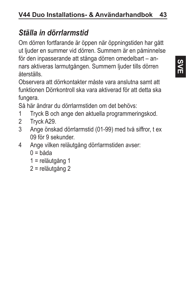### *Ställa in dörrlarmstid*

Om dörren fortfarande är öppen när öppningstiden har gått ut ljuder en summer vid dörren. Summern är en påminnelse för den inpasserande att stänga dörren omedelbart – annars aktiveras larmutgången. Summern ljuder tills dörren återställs.

Observera att dörrkontakter måste vara anslutna samt att funktionen Dörrkontroll ska vara aktiverad för att detta ska fungera.

Så här ändrar du dörrlarmstiden om det behövs:

- 1 Tryck B och ange den aktuella programmeringskod.
- 2 Tryck A29.<br>3 Ange önsk
- 3 Ange önskad dörrlarmstid (01-99) med två siffror, t ex 09 för 9 sekunder.
- 4 Ange vilken reläutgång dörrlarmstiden avser:
	- $0 = h$ åda
	- 1 = reläutgång 1
	- 2 = reläutgång 2

**SVE**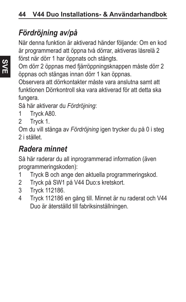### *Fördröjning av/på*

När denna funktion är aktiverad händer följande: Om en kod är programmerad att öppna två dörrar, aktiveras låsrelä 2 först när dörr 1 har öppnats och stängts.

Om dörr 2 öppnas med fjärröppningsknappen måste dörr 2 öppnas och stängas innan dörr 1 kan öppnas.

Observera att dörrkontakter måste vara anslutna samt att funktionen Dörrkontroll ska vara aktiverad för att detta ska fungera.

Så här aktiverar du *Fördröjning*:

- 1 Tryck A80.<br>2 Tryck 1
- Tryck 1.

Om du vill stänga av *Fördröjning* igen trycker du på 0 i steg 2 i stället.

#### *Radera minnet*

Så här raderar du all inprogrammerad information (även programmeringskoden):

- 1 Tryck B och ange den aktuella programmeringskod.
- 2 Tryck på SW1 på V44 Duo:s kretskort.
- 3 Tryck 112186.
- 4 Tryck 112186 en gång till. Minnet är nu raderat och V44 Duo är återställd till fabriksinställningen.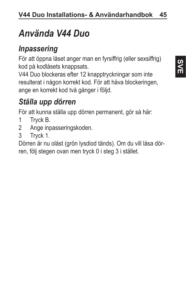# *Använda V44 Duo*

### *Inpassering*

För att öppna låset anger man en fyrsiffrig (eller sexsiffrig) kod på kodlåsets knappsats.

V44 Duo blockeras efter 12 knapptryckningar som inte resulterat i någon korrekt kod. För att häva blockeringen, ange en korrekt kod två gånger i följd.



### *Ställa upp dörren*

För att kunna ställa upp dörren permanent, gör så här:

- 1 Tryck B.
- 2 Ange inpasseringskoden.<br>3 Tryck 1
- Tryck 1.

Dörren är nu olåst (grön lysdiod tänds). Om du vill låsa dörren, följ stegen ovan men tryck 0 i steg 3 i stället.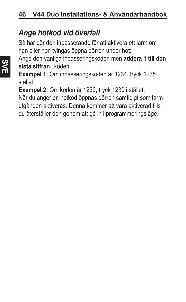### *Ange hotkod vid överfall*

Så här gör den inpasserande för att aktivera ett larm om han eller hon tvingas öppna dörren under hot:

Ange den vanliga inpasseringskoden men **addera 1 till den sista siffran** i koden.

**Exempel 1:** Om inpasseringskoden är 1234, tryck 1235 i stället.

**Exempel 2:** Om koden är 1239, tryck 1230 i stället.

När du anger en hotkod öppnas dörren samtidigt som larmutgången aktiveras. Denna kommer att vara aktiverad tills du återställer den genom att gå in i programmeringsläge.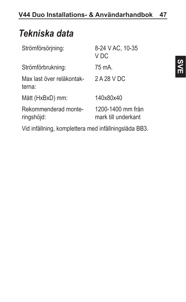## *Tekniska data*

| Strömförsörining:                   | 8-24 V AC, 10-35<br>V DC                 |
|-------------------------------------|------------------------------------------|
| Strömförbrukning:                   | 75 mA.                                   |
| Max last över reläkontak-<br>terna: | 2 A 28 V DC                              |
| Mått (HxBxD) mm:                    | 140x80x40                                |
| Rekommenderad monte-<br>ringshöjd:  | 1200-1400 mm från<br>mark till underkant |
| 1.011110.11111                      |                                          |

Vid infällning, komplettera med infällningslåda BB3.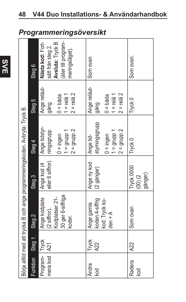|                                  |                    |                                                                                |                                  | Börja alltid med att trycka B och ange programmeringskoden. Avbryta: Tryck B.  |                                                                            |                                                                                                    |  |
|----------------------------------|--------------------|--------------------------------------------------------------------------------|----------------------------------|--------------------------------------------------------------------------------|----------------------------------------------------------------------------|----------------------------------------------------------------------------------------------------|--|
| <b>Funktion</b>                  | Steg 1             | Steg <sub>2</sub>                                                              | Steg <sub>3</sub>                | Steg 4                                                                         | Steg 5                                                                     | Steg 6                                                                                             |  |
| Program- Tryck<br>mera kod   A21 |                    | 30 ger 6-siffriga<br>Kodplatser 21-<br>Ange kodplats<br>(2 siffror).<br>koder. | eller 6 siffror)<br>Ange kod (4  | Ange tidstyr-<br>$2 =$ grupp $2$<br>ningsgrupp<br>$1$ ddnnb $=$<br>$0 = ingen$ | Ange reläut-<br>$2 =$ relä 2<br>$0 = b \hat{a} d$ a<br>$1 =$ relä<br>gång  | (åter till program-<br>Nästa kod: Fort-<br>Avsluta: Tryck B<br>sätt från steg 2.<br>meringsläget). |  |
| Ändra<br>kod                     | Tryck<br><b>R2</b> | koden. 4-siffrig<br>kod: Tryck ko-<br>Ange gamla<br>$den + A$                  | Ange ny kod<br>(2 gånger)        | styrningsgrupp<br>$2 =$ grupp $2$<br>$=$ grup $=$<br>$0 = ingen$<br>Ange tid-  | Ange reläut-<br>$2 =$ relä 2<br>$1 =$ relä 1<br>$0 = b \hat{a} da$<br>gang | Som ovan                                                                                           |  |
| Radera<br><b>SON</b>             | <b>A22</b>         | Som ovan                                                                       | Tryck 0000<br>gånger)<br>(00)(2) | Tryck <sub>0</sub>                                                             | Tryck 0                                                                    | Som ovan.                                                                                          |  |

### *Programmeringsöversikt*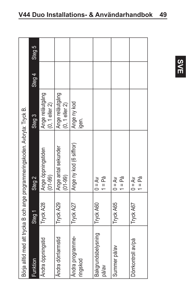| Bakgrundsbelysning<br>Ändra programme-<br>Andra dörrlarmstid<br>Ändra öppningstid<br>Summer på/av<br>ringskod<br>Funktion<br>på/av | Tryck A65<br>Tryck A28<br>Tryck A29<br>Tryck A60<br>Tryck A27<br>Steg $1$ | Börja alltid med att trycka B och ange programmeringskoden. Avbryta: Tryck B.<br>Ange ny kod (6 siffror)<br>Ange antal sekunder<br>Ange öppningstiden<br>$(01-99)$<br>$(01-99)$<br>=På<br>= På<br>Steg <sub>2</sub><br>$W = 0$<br>$W = 0$ | Ange reläutgång<br>Ange reläutgång<br>$(0, 1$ eller $2)$<br>Ange ny kod<br>$(0, 1$ eller 2)<br>Steg <sub>3</sub><br>igen. | Steg <sub>4</sub> | Steg 5 |
|------------------------------------------------------------------------------------------------------------------------------------|---------------------------------------------------------------------------|-------------------------------------------------------------------------------------------------------------------------------------------------------------------------------------------------------------------------------------------|---------------------------------------------------------------------------------------------------------------------------|-------------------|--------|
| Dörrkontroll av/på                                                                                                                 | Tryck A67                                                                 | $1 = P\hat{a}$<br>$M = 0$                                                                                                                                                                                                                 |                                                                                                                           |                   |        |

**SVE**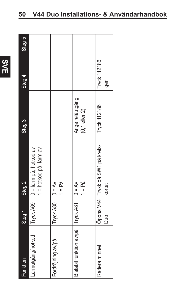| Funktion                            | Steg <sub>1</sub>        | Steg <sub>2</sub>                                             | Steg <sub>3</sub>                   | Steg 4                      | Steg <sub>5</sub> |
|-------------------------------------|--------------------------|---------------------------------------------------------------|-------------------------------------|-----------------------------|-------------------|
| Larmutgång/hotkod                   |                          | Tryck A69    0 = larm på, hotkod av<br>1 = hotkod på, larm av |                                     |                             |                   |
| Fördröjning av/på                   | Tryck A80 $\vert$ 0 = Av | $1 = P\hat{a}$                                                |                                     |                             |                   |
| Bistabil funktion av/på   Tryck A81 |                          | $1 = P\hat{a}$<br>$M = 0$                                     | Ange reläutgång<br>$(0, 1$ eller 2) |                             |                   |
| Radera minnet                       | Duo                      | Öppna V44 Tryxk på SW1 på krets-<br>kortet                    | <b>Tryck 112186</b>                 | <b>Tryck 112186</b><br>igen |                   |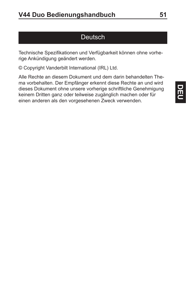#### Deutsch

Technische Spezifikationen und Verfügbarkeit können ohne vorherige Ankündigung geändert werden.

© Copyright Vanderbilt International (IRL) Ltd.

Alle Rechte an diesem Dokument und dem darin behandelten Thema vorbehalten. Der Empfänger erkennt diese Rechte an und wird dieses Dokument ohne unsere vorherige schriftliche Genehmigung keinem Dritten ganz oder teilweise zugänglich machen oder für einen anderen als den vorgesehenen Zweck verwenden.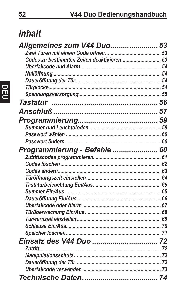# **Inhalt**

 $52$ 

| Allgemeines zum V44 Duo 53                 |  |
|--------------------------------------------|--|
|                                            |  |
| Codes zu bestimmten Zeiten deaktivieren 53 |  |
|                                            |  |
|                                            |  |
|                                            |  |
|                                            |  |
|                                            |  |
|                                            |  |
|                                            |  |
|                                            |  |
|                                            |  |
|                                            |  |
|                                            |  |
| Programmierung - Befehle  60               |  |
|                                            |  |
|                                            |  |
|                                            |  |
|                                            |  |
|                                            |  |
|                                            |  |
|                                            |  |
|                                            |  |
|                                            |  |
|                                            |  |
|                                            |  |
|                                            |  |
|                                            |  |
|                                            |  |
|                                            |  |
|                                            |  |
|                                            |  |
|                                            |  |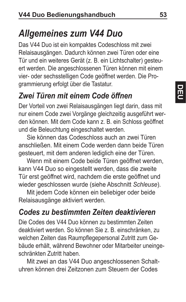## <span id="page-52-0"></span>*Allgemeines zum V44 Duo*

Das V44 Duo ist ein kompaktes Codeschloss mit zwei Relaisausgängen. Dadurch können zwei Türen oder eine Tür und ein weiteres Gerät (z. B. ein Lichtschalter) gesteuert werden. Die angeschlossenen Türen können mit einem vier- oder sechsstelligen Code geöffnet werden. Die Programmierung erfolgt über die Tastatur.

#### *Zwei Türen mit einem Code öffnen*

Der Vorteil von zwei Relaisausgängen liegt darin, dass mit nur einem Code zwei Vorgänge gleichzeitig ausgeführt werden können. Mit dem Code kann z. B. ein Schloss geöffnet und die Beleuchtung eingeschaltet werden.

Sie können das Codeschloss auch an zwei Türen anschließen. Mit einem Code werden dann beide Türen gesteuert, mit dem anderen lediglich eine der Türen.

Wenn mit einem Code beide Türen geöffnet werden, kann V44 Duo so eingestellt werden, dass die zweite Tür erst geöffnet wird, nachdem die erste geöffnet und wieder geschlossen wurde (siehe Abschnitt *Schleuse*).

Mit jedem Code können ein beliebiger oder beide Relaisausgänge aktiviert werden.

#### *Codes zu bestimmten Zeiten deaktivieren*

Die Codes des V44 Duo können zu bestimmten Zeiten deaktiviert werden. So können Sie z. B. einschränken, zu welchen Zeiten das Raumpflegepersonal Zutritt zum Gebäude erhält, während Bewohner oder Mitarbeiter uneingeschränkten Zutritt haben.

Mit zwei an das V44 Duo angeschlossenen Schaltuhren können drei Zeitzonen zum Steuern der Codes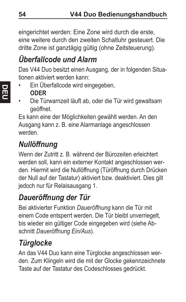<span id="page-53-0"></span>eingerichtet werden: Eine Zone wird durch die erste, eine weitere durch den zweiten Schaltuhr gesteuert. Die dritte Zone ist ganztägig gültig (ohne Zeitsteuerung).

### *Überfallcode und Alarm*

Das V44 Duo besitzt einen Ausgang, der in folgenden Situationen aktiviert werden kann:

- Ein Überfallcode wird eingegeben, **ODER**
- Die Türwarnzeit läuft ab, oder die Tür wird gewaltsam geöffnet.

Es kann eine der Möglichkeiten gewählt werden. An den Ausgang kann z. B. eine Alarmanlage angeschlossen werden.

### *Nullöffnung*

Wenn der Zutritt z. B. während der Bürozeiten erleichtert werden soll, kann ein externer Kontakt angeschlossen werden. Hiermit wird die Nullöffnung (Türöffnung durch Drücken der Null auf der Tastatur) aktiviert bzw. deaktiviert. Dies gilt jedoch nur für Relaisausgang 1.

### *Daueröffnung der Tür*

Bei aktivierter Funktion *Daueröffnung* kann die Tür mit einem Code entsperrt werden. Die Tür bleibt unverriegelt, bis wieder ein gültiger Code eingegeben wird (siehe Abschnitt *Daueröffnung Ein/Aus*).

### *Türglocke*

An das V44 Duo kann eine Türglocke angeschlossen werden. Zum Klingeln wird die mit der Glocke gekennzeichnete Taste auf der Tastatur des Codeschlosses gedrückt.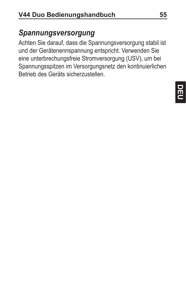#### <span id="page-54-0"></span>*Spannungsversorgung*

Achten Sie darauf, dass die Spannungsversorgung stabil ist und der Gerätenennspannung entspricht. Verwenden Sie eine unterbrechungsfreie Stromversorgung (USV), um bei Spannungsspitzen im Versorgungsnetz den kontinuierlichen Betrieb des Geräts sicherzustellen.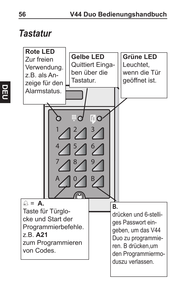### <span id="page-55-0"></span>*Tastatur*

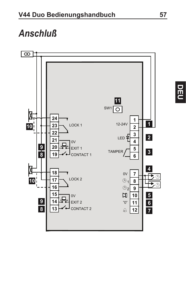## <span id="page-56-0"></span>*Anschluß*

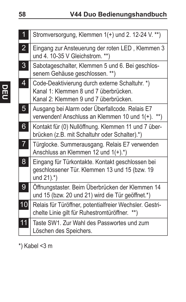#### **58 V44 Duo Bedienungshandbuch**

| 1              | Stromversorgung, Klemmen 1(+) und 2. 12-24 V. **)                                                                                |
|----------------|----------------------------------------------------------------------------------------------------------------------------------|
| $\overline{2}$ | Eingang zur Ansteuerung der roten LED, Klemmen 3<br>und 4. 10-35 V Gleichstrom. **)                                              |
| 3              | Sabotageschalter, Klemmen 5 und 6. Bei geschlos-<br>senem Gehäuse geschlossen. **)                                               |
| 4              | Code-Deaktivierung durch externe Schaltuhr. *)<br>Kanal 1: Klemmen 8 und 7 überbrücken.<br>Kanal 2: Klemmen 9 und 7 überbrücken. |
| 5              | Ausgang bei Alarm oder Überfallcode. Relais E7<br>verwenden! Anschluss an Klemmen 10 und 1(+). **)                               |
| 6              | Kontakt für (0) Nullöffnung. Klemmen 11 und 7 über-<br>brücken (z.B. mit Schaltuhr oder Schalter).*)                             |
| 7              | Türglocke. Summerausgang. Relais E7 verwenden<br>Anschluss an Klemmen 12 und 1(+).*)                                             |
| 8              | Eingang für Türkontakte. Kontakt geschlossen bei<br>geschlossener Tür. Klemmen 13 und 15 (bzw. 19<br>und 21).*)                  |
| 9              | Öffnungstaster. Beim Überbrücken der Klemmen 14<br>und 15 (bzw. 20 und 21) wird die Tür geöffnet.*)                              |
| 10             | Relais für Türöffner, potentialfreier Wechsler. Gestri-<br>chelte Linie gilt für Ruhestromtüröffner. **)                         |
| 11             | Taste SW1. Zur Wahl des Passwortes und zum<br>Löschen des Speichers.                                                             |
|                |                                                                                                                                  |

\*) Kabel <3 m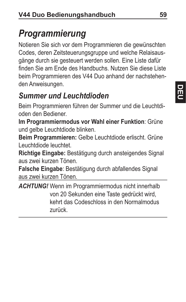# <span id="page-58-0"></span>*Programmierung*

Notieren Sie sich vor dem Programmieren die gewünschten Codes, deren Zeitsteuerungsgruppe und welche Relaisausgänge durch sie gesteuert werden sollen. Eine Liste dafür finden Sie am Ende des Handbuchs. Nutzen Sie diese Liste beim Programmieren des V44 Duo anhand der nachstehenden Anweisungen.

### *Summer und Leuchtdioden*

Beim Programmieren führen der Summer und die Leuchtdioden den Bediener.

**Im Programmiermodus vor Wahl einer Funktion**: Grüne und gelbe Leuchtdiode blinken.

**Beim Programmieren:** Gelbe Leuchtdiode erlischt. Grüne Leuchtdiode leuchtet.

**Richtige Eingabe:** Bestätigung durch ansteigendes Signal aus zwei kurzen Tönen.

**Falsche Eingabe**: Bestätigung durch abfallendes Signal aus zwei kurzen Tönen.

*ACHTUNG!* Wenn im Programmiermodus nicht innerhalb von 20 Sekunden eine Taste gedrückt wird, kehrt das Codeschloss in den Normalmodus zurück.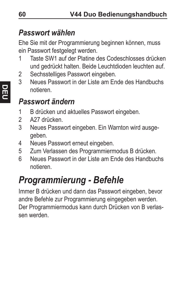### <span id="page-59-0"></span>*Passwort wählen*

Ehe Sie mit der Programmierung beginnen können, muss ein Passwort festgelegt werden.

- 1 Taste SW1 auf der Platine des Codeschlosses drücken und gedrückt halten. Beide Leuchtdioden leuchten auf.
- 2 Sechsstelliges Passwort eingeben.<br>3 Neues Passwort in der Liste am En
- 3 Neues Passwort in der Liste am Ende des Handbuchs notieren.

### *Passwort ändern*

- 1 B drücken und aktuelles Passwort eingeben.
- 2 A27 drücken.<br>3 Neues Passw
- Neues Passwort eingeben. Ein Warnton wird ausgegeben.
- 4 Neues Passwort erneut eingeben.
- 5 Zum Verlassen des Programmiermodus B drücken.
- 6 Neues Passwort in der Liste am Ende des Handbuchs notieren.

# *Programmierung - Befehle*

Immer B drücken und dann das Passwort eingeben, bevor andre Befehle zur Programmierung eingegeben werden. Der Programmiermodus kann durch Drücken von B verlassen werden.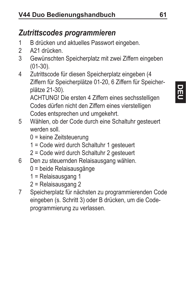### <span id="page-60-0"></span>*Zutrittscodes programmieren*

- 1 B drücken und aktuelles Passwort eingeben.<br>2 A21 drücken
- A21 drücken.
- 3 Gewünschten Speicherplatz mit zwei Ziffern eingeben (01-30).
- 4 Zutrittscode für diesen Speicherplatz eingeben (4 Ziffern für Speicherplätze 01-20, 6 Ziffern für Speicherplätze 21-30).

ACHTUNG! Die ersten 4 Ziffern eines sechsstelligen Codes dürfen nicht den Ziffern eines vierstelligen Codes entsprechen und umgekehrt.

5 Wählen, ob der Code durch eine Schaltuhr gesteuert werden soll.

0 = keine Zeitsteuerung

- 1 = Code wird durch Schaltuhr 1 gesteuert
- 2 = Code wird durch Schaltuhr 2 gesteuert
- 6 Den zu steuernden Relaisausgang wählen.
	- 0 = beide Relaisausgänge
	- 1 = Relaisausgang 1
	- 2 = Relaisausgang 2
- 7 Speicherplatz für nächsten zu programmierenden Code eingeben (s. Schritt 3) oder B drücken, um die Codeprogrammierung zu verlassen.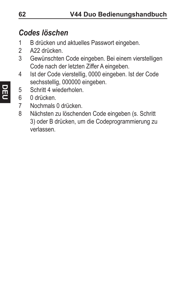#### <span id="page-61-0"></span>*Codes löschen*

- 1 B drücken und aktuelles Passwort eingeben.<br>2 A22 drücken.
- A22 drücken.
- 3 Gewünschten Code eingeben. Bei einem vierstelligen Code nach der letzten Ziffer A eingeben.
- 4 Ist der Code vierstellig, 0000 eingeben. Ist der Code sechsstellig, 000000 eingeben.
- 5 Schritt 4 wiederholen.
- 6 0 drücken.<br>7 Nochmals
- Nochmals 0 drücken.
- 8 Nächsten zu löschenden Code eingeben (s. Schritt 3) oder B drücken, um die Codeprogrammierung zu verlassen.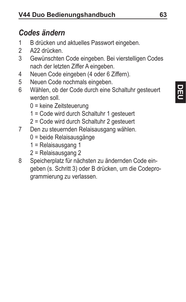### <span id="page-62-0"></span>*Codes ändern*

- 1 B drücken und aktuelles Passwort eingeben.<br>2 A22 drücken
- A22 drücken.
- 3 Gewünschten Code eingeben. Bei vierstelligen Codes nach der letzten Ziffer A eingeben.
- 4 Neuen Code eingeben (4 oder 6 Ziffern).<br>5 Neuen Code nochmals eingeben.
- 5 Neuen Code nochmals eingeben.<br>6 Wählen, ob der Code durch eine 9
- 6 Wählen, ob der Code durch eine Schaltuhr gesteuert werden soll.
	- 0 = keine Zeitsteuerung
	- 1 = Code wird durch Schaltuhr 1 gesteuert
	- 2 = Code wird durch Schaltuhr 2 gesteuert
- 7 Den zu steuernden Relaisausgang wählen.
	- 0 = beide Relaisausgänge
	- 1 = Relaisausgang 1
	- 2 = Relaisausgang 2
- 8 Speicherplatz für nächsten zu ändernden Code eingeben (s. Schritt 3) oder B drücken, um die Codeprogrammierung zu verlassen.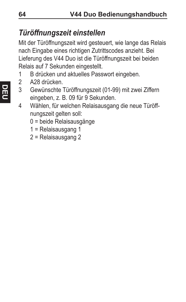### <span id="page-63-0"></span>*Türöffnungszeit einstellen*

Mit der Türöffnungszeit wird gesteuert, wie lange das Relais nach Eingabe eines richtigen Zutrittscodes anzieht. Bei Lieferung des V44 Duo ist die Türöffnungszeit bei beiden Relais auf 7 Sekunden eingestellt.

- 1 B drücken und aktuelles Passwort eingeben.<br>2 A28 drücken
- 2 A28 drücken.<br>3 Gewünschte
- 3 Gewünschte Türöffnungszeit (01-99) mit zwei Ziffern eingeben, z. B. 09 für 9 Sekunden.
- 4 Wählen, für welchen Relaisausgang die neue Türöffnungszeit gelten soll:
	- 0 = beide Relaisausgänge
	- 1 = Relaisausgang 1
	- 2 = Relaisausgang 2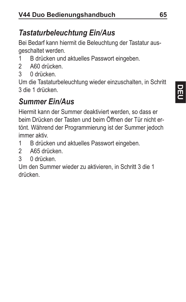### <span id="page-64-0"></span>*Tastaturbeleuchtung Ein/Aus*

Bei Bedarf kann hiermit die Beleuchtung der Tastatur ausgeschaltet werden.

- 1 B drücken und aktuelles Passwort eingeben.
- 2 A60 drücken.
- 3 0 drücken.

Um die Tastaturbeleuchtung wieder einzuschalten, in Schritt 3 die 1 drücken.

### *Summer Ein/Aus*

Hiermit kann der Summer deaktiviert werden, so dass er beim Drücken der Tasten und beim Öffnen der Tür nicht ertönt. Während der Programmierung ist der Summer jedoch immer aktiv.

- 1 B drücken und aktuelles Passwort eingeben.
- 2 A65 drücken.
- 3 0 drücken.

Um den Summer wieder zu aktivieren, in Schritt 3 die 1 drücken.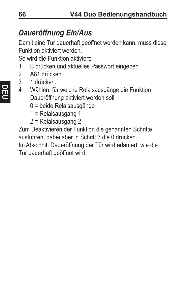### <span id="page-65-0"></span>*Daueröffnung Ein/Aus*

Damit eine Tür dauerhaft geöffnet werden kann, muss diese Funktion aktiviert werden.

So wird die Funktion aktiviert:

- 1 B drücken und aktuelles Passwort eingeben.
- 2 A81 drücken.
- 3 1 drücken.<br>4 Wählen fü
- Wählen, für welche Relaisausgänge die Funktion Daueröffnung aktiviert werden soll.
	- 0 = beide Relaisausgänge
	- 1 = Relaisausgang 1
	- 2 = Relaisausgang 2

Zum Deaktivieren der Funktion die genannten Schritte ausführen, dabei aber in Schritt 3 die 0 drücken. Im Abschnitt Daueröffnung der Tür wird erläutert, wie die

Tür dauerhaft geöffnet wird.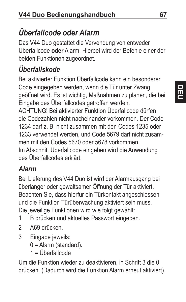### <span id="page-66-0"></span>*Überfallcode oder Alarm*

Das V44 Duo gestattet die Vervendung von entweder Überfallcode **oder** Alarm. Hierbei wird der Befehle einer der beiden Funktionen zugeordnet.

#### *Überfallskode*

Bei aktivierter Funktion Überfallcode kann ein besonderer Code eingegeben werden, wenn die Tür unter Zwang geöffnet wird. Es ist wichtig, Maßnahmen zu planen, die bei Eingabe des Überfallcodes getroffen werden.

ACHTUNG! Bei aktivierter Funktion Überfallcode dürfen die Codezahlen nicht nacheinander vorkommen. Der Code 1234 darf z. B. nicht zusammen mit den Codes 1235 oder 1233 verwendet werden, und Code 5679 darf nicht zusammen mit den Codes 5670 oder 5678 vorkommen. Im Abschnitt Überfallcode eingeben wird die Anwendung des Überfallcodes erklärt.

#### *Alarm*

Bei Lieferung des V44 Duo ist wird der Alarmausgang bei überlanger oder gewaltsamer Öffnung der Tür aktiviert. Beachten Sie, dass hierfür ein Türkontakt angeschlossen und die Funktion Türüberwachung aktiviert sein muss. Die jeweilige Funktionen wird wie folgt gewählt:

- 1 B drücken und aktuelles Passwort eingeben.
- 2 A69 drücken.
- 3 Eingabe jeweils:

0 = Alarm (standard).

 $1 = \ddot{\cup}$  berfallcode

Um die Funktion wieder zu deaktivieren, in Schritt 3 die 0 drücken. (Dadurch wird die Funktion Alarm erneut aktiviert).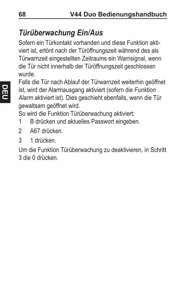### <span id="page-67-0"></span>*Türüberwachung Ein/Aus*

Sofern ein Türkontakt vorhanden und diese Funktion aktiviert ist, ertönt nach der Türöffnungszeit während des als Türwarnzeit eingestellten Zeitraums ein Warnsignal, wenn die Tür nicht innerhalb der Türöffnungszeit geschlossen wurde.

Falls die Tür nach Ablauf der Türwarnzeit weiterhin geöffnet ist, wird der Alarmausgang aktiviert (sofern die *Funktion Alarm* aktiviert ist). Dies geschieht ebenfalls, wenn die Tür gewaltsam geöffnet wird.

So wird die Funktion Türüberwachung aktiviert:

- 1 B drücken und aktuelles Passwort eingeben.
- 2 A67 drücken.
- 3 1 drücken.

Um die Funktion Türüberwachung zu deaktivieren, in Schritt 3 die 0 drücken.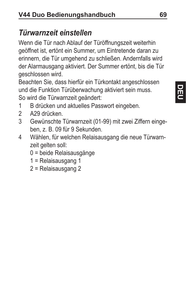### <span id="page-68-0"></span>*Türwarnzeit einstellen*

Wenn die Tür nach Ablauf der Türöffnungszeit weiterhin geöffnet ist, ertönt ein Summer, um Eintretende daran zu erinnern, die Tür umgehend zu schließen. Andernfalls wird der Alarmausgang aktiviert. Der Summer ertönt, bis die Tür geschlossen wird.

Beachten Sie, dass hierfür ein Türkontakt angeschlossen und die Funktion Türüberwachung aktiviert sein muss. So wird die Türwarnzeit geändert:

- 1 B drücken und aktuelles Passwort eingeben.
- 2 A29 drücken.<br>3 Gewünschte
- 3 Gewünschte Türwarnzeit (01-99) mit zwei Ziffern eingeben, z. B. 09 für 9 Sekunden.
- 4 Wählen, für welchen Relaisausgang die neue Türwarnzeit gelten soll:
	- 0 = beide Relaisausgänge
	- 1 = Relaisausgang 1
	- 2 = Relaisausgang 2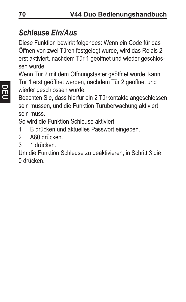### <span id="page-69-0"></span>*Schleuse Ein/Aus*

Diese Funktion bewirkt folgendes: Wenn ein Code für das Öffnen von zwei Türen festgelegt wurde, wird das Relais 2 erst aktiviert, nachdem Tür 1 geöffnet und wieder geschlossen wurde.

Wenn Tür 2 mit dem Öffnungstaster geöffnet wurde, kann Tür 1 erst geöffnet werden, nachdem Tür 2 geöffnet und wieder geschlossen wurde.

Beachten Sie, dass hierfür ein 2 Türkontakte angeschlossen sein müssen, und die Funktion Türüberwachung aktiviert sein muss.

So wird die Funktion Schleuse aktiviert:

- 1 B drücken und aktuelles Passwort eingeben.
- 2 A80 drücken.
- 3 1 drücken.

Um die Funktion Schleuse zu deaktivieren, in Schritt 3 die 0 drücken.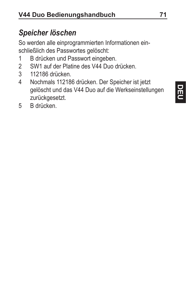### <span id="page-70-0"></span>*Speicher löschen*

So werden alle einprogrammierten Informationen einschließlich des Passwortes gelöscht:

- 1 B drücken und Passwort eingeben.
- 2 SW1 auf der Platine des V44 Duo drücken.
- 3 112186 drücken.<br>4 Nochmals 11218
- 4 Nochmals 112186 drücken. Der Speicher ist jetzt gelöscht und das V44 Duo auf die Werkseinstellungen zurückgesetzt.
- 5 B drücken.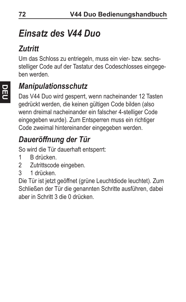# <span id="page-71-0"></span>*Einsatz des V44 Duo*

# *Zutritt*

Um das Schloss zu entriegeln, muss ein vier- bzw. sechsstelliger Code auf der Tastatur des Codeschlosses eingegeben werden.

### *Manipulationsschutz*

Das V44 Duo wird gesperrt, wenn nacheinander 12 Tasten gedrückt werden, die keinen gültigen Code bilden (also wenn dreimal nacheinander ein falscher 4-stelliger Code eingegeben wurde). Zum Entsperren muss ein richtiger Code zweimal hintereinander eingegeben werden.

## *Daueröffnung der Tür*

So wird die Tür dauerhaft entsperrt:

- 1 B drücken.
- 2 Zutrittscode eingeben.
- 3 1 drücken.

Die Tür ist jetzt geöffnet (grüne Leuchtdiode leuchtet). Zum Schließen der Tür die genannten Schritte ausführen, dabei aber in Schritt 3 die 0 drücken.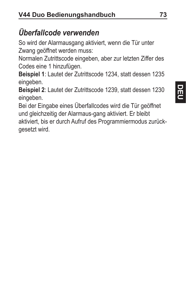## *Überfallcode verwenden*

So wird der Alarmausgang aktiviert, wenn die Tür unter Zwang geöffnet werden muss:

Normalen Zutrittscode eingeben, aber zur letzten Ziffer des Codes eine 1 hinzufügen.

**Beispiel 1**: Lautet der Zutrittscode 1234, statt dessen 1235 eingeben.

**Beispiel 2**: Lautet der Zutrittscode 1239, statt dessen 1230 eingeben.

Bei der Eingabe eines Überfallcodes wird die Tür geöffnet und gleichzeitig der Alarmaus-gang aktiviert. Er bleibt aktiviert, bis er durch Aufruf des Programmiermodus zurückgesetzt wird.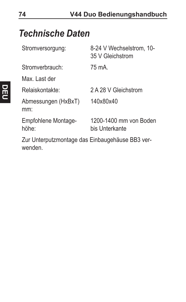## *Technische Daten*

| Stromversorgung:                                | 8-24 V Wechselstrom, 10-<br>35 V Gleichstrom |
|-------------------------------------------------|----------------------------------------------|
| Stromverbrauch:                                 | 75 mA                                        |
| Max. Last der                                   |                                              |
| Relaiskontakte:                                 | 2 A 28 V Gleichstrom                         |
| Abmessungen (HxBxT)<br>mm:                      | 140x80x40                                    |
| Empfohlene Montage-<br>höhe:                    | 1200-1400 mm von Boden<br>bis Unterkante     |
| Zur Unterputzmontage das Einbaugehäuse BB3 ver- |                                              |

Zur Unterputzmontage das Einbaugehäuse BB3 verwenden.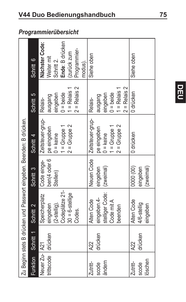*Programmierübersicht*

|                                       |                | Zu Beginn stets B drücken und Passwort eingeben. Beenden: B drücken.                                  |                                         |                                                                                    |                                                                                          |                                                                                                         |
|---------------------------------------|----------------|-------------------------------------------------------------------------------------------------------|-----------------------------------------|------------------------------------------------------------------------------------|------------------------------------------------------------------------------------------|---------------------------------------------------------------------------------------------------------|
| Funktion Schritt 1                    |                | Schritt 2                                                                                             | Schritt <sub>3</sub>                    | Schritt 4                                                                          | Schritt <sub>5</sub>                                                                     | Schritt 6                                                                                               |
| trittscode   drücken<br>Neuer Zu- A21 |                | Codeplätze 21-<br>$30 = 6$ -stellige<br>Speicherplatz<br>$(2\text{-stelling}).$<br>eingeben<br>Codes. | ben(4 oder 6<br>Code einge-<br>Stellen) | Zeitsteuer-grup-<br>$2 =$ Gruppe 2<br>$1 =$ Gruppe 1<br>pe eingeben<br>$0 =$ keine | $2$ = Relais 2<br>$1$ = Relais 1<br>$0 =$ beide<br>eingeben<br><b>Buebane</b><br>Relais- | Ende: B drücken<br>Nächster Code:<br>Programmier-<br>(zurück zum<br>Weiter mit<br>Schritt 2.<br>modus). |
| ändern<br>Zutritt-<br>scode           | drücken<br>A22 | stelliger Code:<br>eingeben.4-<br>Alten Code<br>Code mit A<br>beenden                                 | Neuen Code<br>(zweimal)<br>eingeben     | Zeitsteuer-grup-<br>$2 =$ Gruppe 2<br>pe eingeben<br>$1 =$ Gruppe<br>$0 =$ keine   | $2$ = Relais 2<br>$1$ = Relais 1<br>$0 =$ beide<br>eingeben<br><b>BueBsne</b><br>Relais- | Siehe oben                                                                                              |
| löschen<br>Zutritt-<br>scode          | drücken<br>A22 | Alten Code<br>4/6-stellig<br>eingeben                                                                 | 0000 (00)<br>(zweimal)<br>eingeben      | 0 drücken                                                                          | 0 drücken                                                                                | Siehe oben                                                                                              |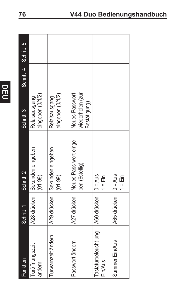| Funktion                        | Schritt <sub>1</sub>  | Schritt 2                                              | Schritt <sub>3</sub>                               | Schritt 4 Schritt 5 |  |
|---------------------------------|-----------------------|--------------------------------------------------------|----------------------------------------------------|---------------------|--|
| Türöffnungszeit<br>ändern       |                       | A28 drücken Sekunden eingeben<br>$(01-99)$             | eingeben (0/1/2)<br>Relaisausgang                  |                     |  |
| Türwarnzeit ändern              |                       | A29 drücken   Sekunden eingeben<br>$(01-99)$           | eingeben (0/1/2)<br>Relaisausgang                  |                     |  |
| Passwort ändern                 |                       | A27 drücken   Neues Pass-wort einge-<br>ben (6stellig) | wiederholen (zur<br>Neues Passwort<br>Bestätigung) |                     |  |
| Tastaturbeleucht-ung<br>Ein/Aus | A60 drücken   0 = Aus | $i = \overline{m}$                                     |                                                    |                     |  |
| Summer Ein/Aus                  | A65 drücken   0 = Aus | 1 = Ein                                                |                                                    |                     |  |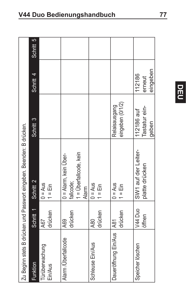|                            |                       | Zu Beginn stets B drücken und Passwort eingeben. Beenden: B drücken.  |                                      |                              |                      |
|----------------------------|-----------------------|-----------------------------------------------------------------------|--------------------------------------|------------------------------|----------------------|
| <b>Funktion</b>            | Schritt ~             | Schritt 2                                                             | Schritt <sub>3</sub>                 | Schritt 4                    | Schritt <sub>5</sub> |
| Türüberwachung<br>Ein/Aus  | drücken<br>A67        | $0 = Aus$<br>$i = \overline{E}$ in                                    |                                      |                              |                      |
| Alarm / Uberfallcode       | drücken<br>A69        | 1 = Überfallcode, kein<br>0 = Alarm, kein Uber-<br>fallcode;<br>Alarm |                                      |                              |                      |
| Schleuse Ein/Aus           | drücken<br><b>A80</b> | $0 = Aug$<br>$i = \overline{E}$                                       |                                      |                              |                      |
| Daueröffnung Ein/Aus   A81 | drücken               | $0 = Aus$<br>$1 = Ein$                                                | eingeben (0/1/2)<br>Relaisausgang    |                              |                      |
| Speicher löschen           | V44 Duo<br>öffnen     | SW1 auf der Leiter-<br>platte drücken                                 | Tastatur ein-<br>112186 auf<br>geben | eingeben<br>112186<br>erneut |                      |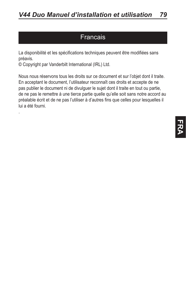#### Francais

La disponibilité et les spécifications techniques peuvent être modifiées sans préavis.

© Copyright par Vanderbilt International (IRL) Ltd.

.

Nous nous réservons tous les droits sur ce document et sur l'objet dont il traite. En acceptant le document, l'utilisateur reconnaît ces droits et accepte de ne pas publier le document ni de divulguer le sujet dont il traite en tout ou partie, de ne pas le remettre à une tierce partie quelle qu'elle soit sans notre accord au préalable écrit et de ne pas l'utiliser à d'autres fins que celles pour lesquelles il lui a été fourni.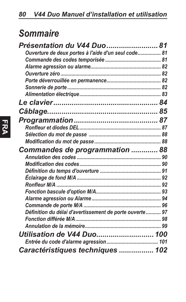## *Sommaire*

| Présentation du V44 Duo 81                               |  |
|----------------------------------------------------------|--|
| Ouverture de deux portes à l'aide d'un seul code 81      |  |
|                                                          |  |
|                                                          |  |
|                                                          |  |
|                                                          |  |
|                                                          |  |
|                                                          |  |
|                                                          |  |
|                                                          |  |
|                                                          |  |
|                                                          |  |
|                                                          |  |
|                                                          |  |
| Commandes de programmation  88                           |  |
|                                                          |  |
|                                                          |  |
|                                                          |  |
|                                                          |  |
|                                                          |  |
|                                                          |  |
|                                                          |  |
|                                                          |  |
| Définition du délai d'avertissement de porte ouverte  97 |  |
|                                                          |  |
|                                                          |  |
| Utilisation de V44 Duo 100                               |  |
|                                                          |  |
| Caractéristiques techniques  102                         |  |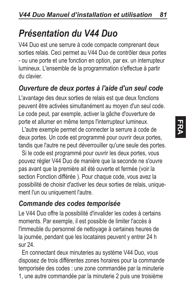## <span id="page-80-0"></span>*Présentation du V44 Duo*

V44 Duo est une serrure à code compacte comprenant deux sorties relais. Ceci permet au V44 Duo de contrôler deux portes - ou une porte et une fonction en option, par ex. un interrupteur lumineux. L'ensemble de la programmation s'effectue à partir du clavier.

#### *Ouverture de deux portes à l'aide d'un seul code*

L'avantage des deux sorties de relais est que deux fonctions peuvent être activées simultanément au moyen d'un seul code. Le code peut, par exemple, activer la gâche d'ouverture de porte et allumer en même temps l'interrupteur lumineux.

L'autre exemple permet de connecter la serrure à code de deux portes. Un code est programmé pour ouvrir deux portes, tandis que l'autre ne peut déverrouiller qu'une seule des portes.

Si le code est programmé pour ouvrir les deux portes, vous pouvez régler V44 Duo de manière que la seconde ne s'ouvre pas avant que la première ait été ouverte et fermée (voir la section Fonction différée ). Pour chaque code, vous avez la possibilité de choisir d'activer les deux sorties de relais, uniquement l'un ou uniquement l'autre.

#### *Commande des codes temporisée*

Le V44 Duo offre la possibilité d'invalider les codes à certains moments. Par exemple, il est possible de limiter l'accès à l'immeuble du personnel de nettoyage à certaines heures de la journée, pendant que les locataires peuvent y entrer 24 h sur 24.

En connectant deux minuteries au système V44 Duo, vous disposez de trois différentes zones horaires pour la commande temporisée des codes : une zone commandée par la minuterie 1, une autre commandée par la minuterie 2 puis une troisième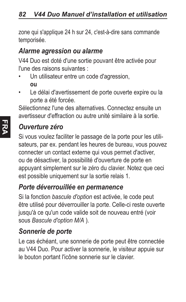<span id="page-81-0"></span>zone qui s'applique 24 h sur 24, c'est-à-dire sans commande temporisée.

#### *Alarme agression ou alarme*

V44 Duo est doté d'une sortie pouvant être activée pour l'une des raisons suivantes :

- Un utilisateur entre un code d'agression, **ou**
- Le délai d'avertissement de porte ouverte expire ou la porte a été forcée.

Sélectionnez l'une des alternatives. Connectez ensuite un avertisseur d'effraction ou autre unité similaire à la sortie.

#### *Ouverture zéro*

Si vous voulez faciliter le passage de la porte pour les utilisateurs, par ex. pendant les heures de bureau, vous pouvez connecter un contact externe qui vous permet d'activer, ou de désactiver, la possibilité d'ouverture de porte en appuyant simplement sur le zéro du clavier. Notez que ceci est possible uniquement sur la sortie relais 1.

#### *Porte déverrouillée en permanence*

Si la fonction *bascule d'option* est activée, le code peut être utilisé pour déverrouiller la porte. Celle-ci reste ouverte jusqu'à ce qu'un code valide soit de nouveau entré (voir sous *Bascule d'option M/A* ).

#### *Sonnerie de porte*

Le cas échéant, une sonnerie de porte peut être connectée au V44 Duo. Pour activer la sonnerie, le visiteur appuie sur le bouton portant l'icône sonnerie sur le clavier.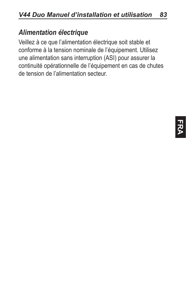#### <span id="page-82-0"></span>*Alimentation électrique*

Veillez à ce que l'alimentation électrique soit stable et conforme à la tension nominale de l'équipement. Utilisez une alimentation sans interruption (ASI) pour assurer la continuité opérationnelle de l'équipement en cas de chutes de tension de l'alimentation secteur.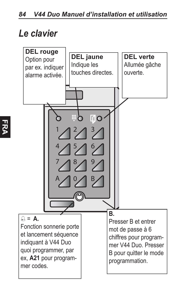## <span id="page-83-0"></span>*Le clavier*



**FRA**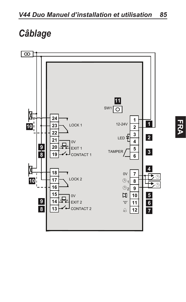## <span id="page-84-0"></span>*Câblage*

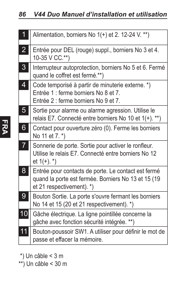#### *86 V44 Duo Manuel d'installation et utilisation*

| 1              | Alimentation, borniers No 1(+) et 2. 12-24 V. **)                                                                                        |
|----------------|------------------------------------------------------------------------------------------------------------------------------------------|
| $\overline{2}$ | Entrée pour DEL (rouge) suppl., borniers No 3 et 4.<br>10-35 V CC.**)                                                                    |
| 3              | Interrupteur autoprotection, borniers No 5 et 6. Fermé<br>quand le coffret est fermé.**)                                                 |
| 4              | Code temporisé à partir de minuterie externe. *)<br>Entrée 1 : ferme borniers No 8 et 7.<br>Entrée 2 : ferme borniers No 9 et 7.         |
| 5              | Sortie pour alarme ou alarme agression. Utilise le<br>relais E7. Connecté entre borniers No 10 et 1(+). **)                              |
| 6              | Contact pour ouverture zéro (0). Ferme les borniers<br>No 11 et 7. *)                                                                    |
| 7              | Sonnerie de porte. Sortie pour activer le ronfleur.<br>Utilise le relais E7. Connecté entre borniers No 12<br>et $1(+)$ . *)             |
| 8              | Entrée pour contacts de porte. Le contact est fermé<br>quand la porte est fermée. Borniers No 13 et 15 (19)<br>et 21 respectivement). *) |
| 9              | Bouton Sortie. La porte s'ouvre fermant les borniers<br>No 14 et 15 (20 et 21 respectivement). *)                                        |
| 10             | Gâche électrique. La ligne pointillée concerne la<br>gâche avec fonction sécurité intégrée. **)                                          |
| 11             | Bouton-poussoir SW1. A utiliser pour définir le mot de<br>passe et effacer la mémoire.                                                   |
|                |                                                                                                                                          |

\*) Un câble < 3 m

\*\*) Un câble < 30 m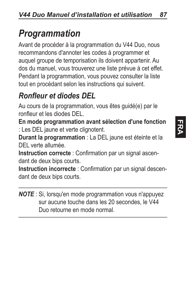# <span id="page-86-0"></span>*Programmation*

Avant de procéder à la programmation du V44 Duo, nous recommandons d'annoter les codes à programmer et auquel groupe de temporisation ils doivent appartenir. Au dos du manuel, vous trouverez une liste prévue à cet effet. Pendant la programmation, vous pouvez consulter la liste tout en procédant selon les instructions qui suivent.

## *Ronfleur et diodes DEL*

Au cours de la programmation, vous êtes guidé(e) par le ronfleur et les diodes DEL.

**En mode programmation avant sélection d'une fonction** : Les DEL jaune et verte clignotent.

**Durant la programmation** : La DEL jaune est éteinte et la DEL verte allumée.

**Instruction correcte** : Confirmation par un signal ascendant de deux bips courts.

**Instruction incorrecte** : Confirmation par un signal descendant de deux bips courts.

*NOTE* : Si, lorsqu'en mode programmation vous n'appuyez sur aucune touche dans les 20 secondes, le V44 Duo retourne en mode normal.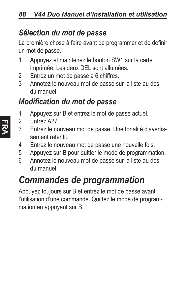## <span id="page-87-0"></span>*Sélection du mot de passe*

La première chose à faire avant de programmer et de définir un mot de passe.

- 1 Appuyez et maintenez le bouton SW1 sur la carte imprimée. Les deux DEL sont allumées
- 2 Entrez un mot de passe à 6 chiffres.<br>3 Annotez le nouveau mot de passe su
- 3 Annotez le nouveau mot de passe sur la liste au dos du manuel.

### *Modification du mot de passe*

- 1 Appuyez sur B et entrez le mot de passe actuel.
- 2 Entrez A27.<br>3 Entrez le no
- Entrez le nouveau mot de passe. Une tonalité d'avertissement retentit
- 4 Entrez le nouveau mot de passe une nouvelle fois.<br>5 Appuyez sur B pour quitter le mode de programma
- Appuyez sur B pour quitter le mode de programmation.
- 6 Annotez le nouveau mot de passe sur la liste au dos du manuel.

# *Commandes de programmation*

Appuyez toujours sur B et entrez le mot de passe avant l'utilisation d'une commande. Quittez le mode de programmation en appuyant sur B.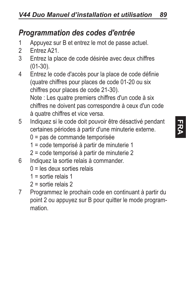## *Programmation des codes d'entrée*

- 1 Appuyez sur B et entrez le mot de passe actuel.
- 2 Entrez A21.
- 3 Entrez la place de code désirée avec deux chiffres (01-30).
- 4 Entrez le code d'accès pour la place de code définie (quatre chiffres pour places de code 01-20 ou six chiffres pour places de code 21-30). Note : Les quatre premiers chiffres d'un code à six chiffres ne doivent pas correspondre à ceux d'un code à quatre chiffres et vice versa.
- 5 Indiquez si le code doit pouvoir être désactivé pendant certaines périodes à partir d'une minuterie externe.
	- 0 = pas de commande temporisée
	- 1 = code temporisé à partir de minuterie 1
	- 2 = code temporisé à partir de minuterie 2
- 6 Indiquez la sortie relais à commander.
	- $0 =$  les deux sorties relais
	- 1 = sortie relais 1
	- 2 = sortie relais 2
- 7 Programmez le prochain code en continuant à partir du point 2 ou appuyez sur B pour quitter le mode programmation.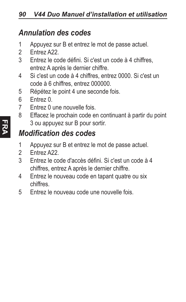### <span id="page-89-0"></span>*Annulation des codes*

- 1 Appuyez sur B et entrez le mot de passe actuel.
- 2 Entrez A22.
- 3 Entrez le code défini. Si c'est un code à 4 chiffres, entrez A après le dernier chiffre.
- 4 Si c'est un code à 4 chiffres, entrez 0000. Si c'est un code à 6 chiffres, entrez 000000.
- 5 Répétez le point 4 une seconde fois.
- 6 Entrez 0.<br>7 Entrez 0.
- 7 Entrez 0 une nouvelle fois.<br>8 Effacez le prochain code e
- Effacez le prochain code en continuant à partir du point 3 ou appuyez sur B pour sortir.

## *Modification des codes*

- 1 Appuyez sur B et entrez le mot de passe actuel.
- 2 Entrez A22.<br>3 Entrez le co
- 3 Entrez le code d'accès défini. Si c'est un code à 4 chiffres, entrez A après le dernier chiffre.
- 4 Entrez le nouveau code en tapant quatre ou six chiffres.
- 5 Entrez le nouveau code une nouvelle fois.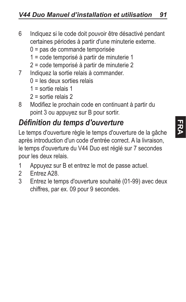- <span id="page-90-0"></span>6 Indiquez si le code doit pouvoir être désactivé pendant certaines périodes à partir d'une minuterie externe.
	- 0 = pas de commande temporisée
	- 1 = code temporisé à partir de minuterie 1
	- 2 = code temporisé à partir de minuterie 2
- 7 Indiquez la sortie relais à commander.
	- 0 = les deux sorties relais
	- 1 = sortie relais 1
	- 2 = sortie relais 2
- 8 Modifiez le prochain code en continuant à partir du point 3 ou appuyez sur B pour sortir.

#### *Définition du temps d'ouverture*

Le temps d'ouverture règle le temps d'ouverture de la gâche après introduction d'un code d'entrée correct. A la livraison, le temps d'ouverture du V44 Duo est réglé sur 7 secondes pour les deux relais.

- 1 Appuyez sur B et entrez le mot de passe actuel.
- 2 Entrez A28.<br>3 Entrez le ter
- 3 Entrez le temps d'ouverture souhaité (01-99) avec deux chiffres, par ex. 09 pour 9 secondes.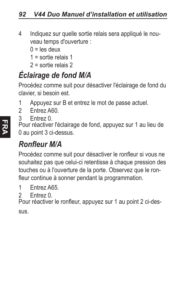- <span id="page-91-0"></span>4 Indiquez sur quelle sortie relais sera appliqué le nouveau temps d'ouverture :
	- $0 =$  les deux
	- $1 =$ sortie relais 1
	- 2 = sortie relais 2

### *Éclairage de fond M/A*

Procédez comme suit pour désactiver l'éclairage de fond du clavier, si besoin est.

- 1 Appuyez sur B et entrez le mot de passe actuel.
- 2 Entrez A60.
- 3 Entrez 0.

Pour réactiver l'éclairage de fond, appuyez sur 1 au lieu de 0 au point 3 ci-dessus.

### *Ronfleur M/A*

Procédez comme suit pour désactiver le ronfleur si vous ne souhaitez pas que celui-ci retentisse à chaque pression des touches ou à l'ouverture de la porte. Observez que le ronfleur continue à sonner pendant la programmation.

- 1 Entrez A65.
- 2 Entrez 0.

Pour réactiver le ronfleur, appuyez sur 1 au point 2 ci-dessus.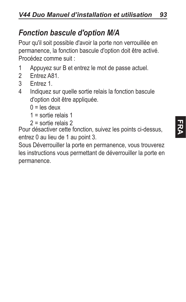## <span id="page-92-0"></span>*Fonction bascule d'option M/A*

Pour qu'il soit possible d'avoir la porte non verrouillée en permanence, la fonction bascule d'option doit être activé. Procédez comme suit :

- 1 Appuyez sur B et entrez le mot de passe actuel.<br>2 Entrez A81
- 2 Entrez A81.
- 3 Entrez 1.
- 4 Indiquez sur quelle sortie relais la fonction bascule d'option doit être appliquée.
	- $0 = \log \frac{1}{2}$
	- $1 =$ sortie relais 1
	- 2 = sortie relais 2

Pour désactiver cette fonction, suivez les points ci-dessus, entrez 0 au lieu de 1 au point 3.

Sous Déverrouiller la porte en permanence, vous trouverez les instructions vous permettant de déverrouiller la porte en permanence.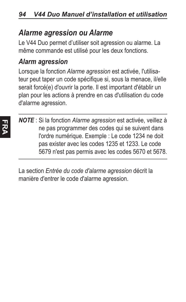#### <span id="page-93-0"></span>*Alarme agression ou Alarme*

Le V44 Duo permet d'utiliser soit agression ou alarme. La même commande est utilisé pour les deux fonctions.

#### *Alarm agression*

Lorsque la fonction *Alarme agression* est activée, l'utilisateur peut taper un code spécifique si, sous la menace, il/elle serait forcé(e) d'ouvrir la porte. Il est important d'établir un plan pour les actions à prendre en cas d'utilisation du code d'alarme agression.

*NOTE* : Si la fonction *Alarme agression* est activée, veillez à ne pas programmer des codes qui se suivent dans l'ordre numérique. Exemple : Le code 1234 ne doit pas exister avec les codes 1235 et 1233. Le code 5679 n'est pas permis avec les codes 5670 et 5678.

La section *Entrée du code d'alarme agression* décrit la manière d'entrer le code d'alarme agression.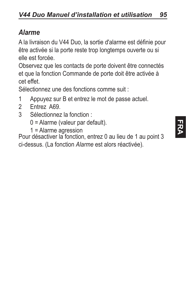#### *Alarme*

A la livraison du V44 Duo, la sortie d'alarme est définie pour être activée si la porte reste trop longtemps ouverte ou si elle est forcée.

Observez que les contacts de porte doivent être connectés et que la fonction Commande de porte doit être activée à cet effet.

Sélectionnez une des fonctions comme suit :

- 1 Appuyez sur B et entrez le mot de passe actuel.
- 2 Entrez A69.
- Sélectionnez la fonction :
	- 0 = Alarme (valeur par default).
	- 1 = Alarme agression

Pour désactiver la fonction, entrez 0 au lieu de 1 au point 3 ci-dessus. (La fonction *Alarme* est alors réactivée).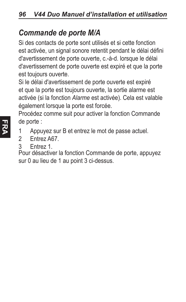## <span id="page-95-0"></span>*Commande de porte M/A*

Si des contacts de porte sont utilisés et si cette fonction est activée, un signal sonore retentit pendant le délai défini d'avertissement de porte ouverte, c.-à-d. lorsque le délai d'avertissement de porte ouverte est expiré et que la porte est toujours ouverte.

Si le délai d'avertissement de porte ouverte est expiré et que la porte est toujours ouverte, la sortie alarme est activée (si la fonction *Alarme* est activée). Cela est valable également lorsque la porte est forcée.

Procédez comme suit pour activer la fonction Commande de porte :

1 Appuyez sur B et entrez le mot de passe actuel.

- 2 Entrez A67.
- 3 Entrez 1.

Pour désactiver la fonction Commande de porte, appuyez sur 0 au lieu de 1 au point 3 ci-dessus.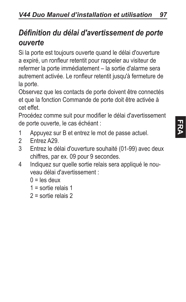## <span id="page-96-0"></span>*Définition du délai d'avertissement de porte ouverte*

Si la porte est toujours ouverte quand le délai d'ouverture a expiré, un ronfleur retentit pour rappeler au visiteur de refermer la porte immédiatement – la sortie d'alarme sera autrement activée. Le ronfleur retentit jusqu'à fermeture de la porte.

Observez que les contacts de porte doivent être connectés et que la fonction Commande de porte doit être activée à cet effet.

Procédez comme suit pour modifier le délai d'avertissement de porte ouverte, le cas échéant :

- 1 Appuyez sur B et entrez le mot de passe actuel.
- 2 Entrez A29.<br>3 Entrez le dé
- Entrez le délai d'ouverture souhaité (01-99) avec deux chiffres, par ex. 09 pour 9 secondes.
- 4 Indiquez sur quelle sortie relais sera appliqué le nouveau délai d'avertissement :
	- $0 =$  les deux
	- 1 = sortie relais 1
	- 2 = sortie relais 2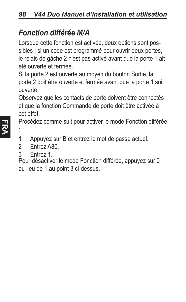## <span id="page-97-0"></span>*Fonction différée M/A*

Lorsque cette fonction est activée, deux options sont possibles : si un code est programmé pour ouvrir deux portes. le relais de gâche 2 n'est pas activé avant que la porte 1 ait été ouverte et fermée.

Si la porte 2 est ouverte au moyen du bouton Sortie, la porte 2 doit être ouverte et fermée avant que la porte 1 soit ouverte.

Observez que les contacts de porte doivent être connectés et que la fonction Commande de porte doit être activée à cet effet.

Procédez comme suit pour activer le mode Fonction différée

1 Appuyez sur B et entrez le mot de passe actuel.

- 2 Entrez A80.<br>3 Entrez 1
- 3 Entrez 1.

Pour désactiver le mode Fonction différée, appuyez sur 0 au lieu de 1 au point 3 ci-dessus.

: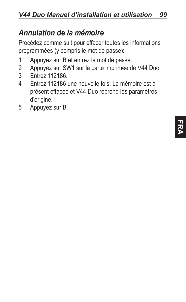## <span id="page-98-0"></span>*Annulation de la mémoire*

Procédez comme suit pour effacer toutes les informations programmées (y compris le mot de passe):

- 1 Appuyez sur B et entrez le mot de passe.<br>2 Appuyez sur SW1 sur la carte imprimée d
- 2 Appuyez sur SW1 sur la carte imprimée de V44 Duo.<br>3 Entrez 112186
- 3 Entrez 112186.
- 4 Entrez 112186 une nouvelle fois. La mémoire est à présent effacée et V44 Duo reprend les paramètres d'origine.
- 5 Appuyez sur B.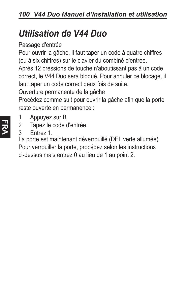# <span id="page-99-0"></span>*Utilisation de V44 Duo*

Passage d'entrée

Pour ouvrir la gâche, il faut taper un code à quatre chiffres (ou à six chiffres) sur le clavier du combiné d'entrée.

Après 12 pressions de touche n'aboutissant pas à un code correct, le V44 Duo sera bloqué. Pour annuler ce blocage, il faut taper un code correct deux fois de suite.

Ouverture permanente de la gâche

Procédez comme suit pour ouvrir la gâche afin que la porte reste ouverte en permanence :

- 1 Appuyez sur B.
- 2 Tapez le code d'entrée.<br>3 Entrez 1
- 3 Entrez 1.

La porte est maintenant déverrouillé (DEL verte allumée). Pour verrouiller la porte, procédez selon les instructions ci-dessus mais entrez 0 au lieu de 1 au point 2.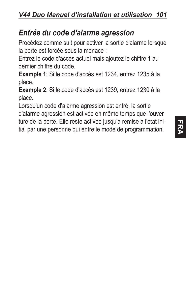## <span id="page-100-0"></span>*Entrée du code d'alarme agression*

Procédez comme suit pour activer la sortie d'alarme lorsque la porte est forcée sous la menace :

Entrez le code d'accès actuel mais ajoutez le chiffre 1 au dernier chiffre du code.

**Exemple 1**: Si le code d'accès est 1234, entrez 1235 à la place.

**Exemple 2**: Si le code d'accès est 1239, entrez 1230 à la place.

Lorsqu'un code d'alarme agression est entré, la sortie d'alarme agression est activée en même temps que l'ouverture de la porte. Elle reste activée jusqu'à remise à l'état initial par une personne qui entre le mode de programmation.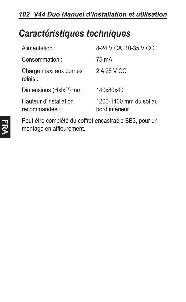# <span id="page-101-0"></span>*Caractéristiques techniques*

| Alimentation:                           | 8-24 V CA, 10-35 V CC                    |
|-----------------------------------------|------------------------------------------|
| Consommation:                           | 75 mA.                                   |
| Charge maxi aux bornes<br>relais:       | 2 A 28 V CC                              |
| Dimensions (HxlxP) mm :                 | 140x80x40                                |
| Hauteur d'installation<br>recommandée : | 1200-1400 mm du sol au<br>bord inférieur |

Peut être complété du coffret encastrable BB3, pour un montage en affleurement.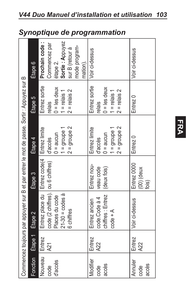|                            |                      |                                                                                                             |                                                | Commencez toujours par appuyer sur B et par entrer le mot de passe. Sortir: Appuyez sur B |                                                                               |                                                                                                                |
|----------------------------|----------------------|-------------------------------------------------------------------------------------------------------------|------------------------------------------------|-------------------------------------------------------------------------------------------|-------------------------------------------------------------------------------|----------------------------------------------------------------------------------------------------------------|
| Fonction                   | Étape 1              | Étape 2                                                                                                     | Étape 3                                        | Etape 4                                                                                   | Étape 5                                                                       | Etape 6                                                                                                        |
| Nouveau<br>d'accès<br>code | Entrez<br><b>A21</b> | code (2 chiffres).   ou 6 chiffres)<br>Entrez place du<br>$21-30 = codes$ à<br>Places du code<br>6 chiffres | Entrez code(4                                  | $2 =$ groupe $2$<br>Entrez limite<br>$1 =$ groupe 1<br>$0 = a$ ucun<br>d'accès            | Entrez sortie<br>$0 =$ les deux<br>$2$ = relais 2<br>$1 =$ relais 1<br>relais | Prochain code:<br>Sortie: Appuyez<br>Commencez par<br>mode program-<br>sur B (retour à<br>étape 2.<br>mation). |
| Modifier<br>accès<br>code  | Entrez<br><b>A22</b> | chiffres : Entrez<br>code.Code à 4<br>Entrez ancien<br>$code + A$                                           | Entrez nou-<br>veau code<br>(deux fois)        | $2 =$ groupe $2$<br>Entrez limite<br>$1 =$ groupe<br>$0 = a$ ucun<br>d'accès              | Entrez sortie<br>$0 =$ les deux<br>$2$ = relais 2<br>$=$ relais 1<br>relais   | Voir ci-dessus                                                                                                 |
| Annuler<br>accès<br>code   | Entrez<br><b>A22</b> | Voir ci-dessus                                                                                              | <b>Entrez 0000</b><br>$(00)$ (deux<br>$f$ ois) | Entrez <sub>0</sub>                                                                       | Entrez <sub>0</sub>                                                           | Voir ci-dessus                                                                                                 |

#### *Synoptique de programmation*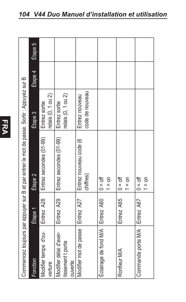| touiours par appliver sur B et par entrer le mot de passe. Sortir : Applivez sur F |
|------------------------------------------------------------------------------------|
|                                                                                    |
|                                                                                    |
|                                                                                    |

**FRA**

|                                                        |            | Commencez toujours par appuyer sur B et par entrer le mot de passe. Sortir : Appuyez sur B |                                     |         |         |  |
|--------------------------------------------------------|------------|--------------------------------------------------------------------------------------------|-------------------------------------|---------|---------|--|
| Fonction                                               | Étape 1    | Etape 2                                                                                    | Etape 3                             | Etape 4 | Etape 5 |  |
| Modifier temps d'ou-<br>verture                        | Entrez A28 | Entrez secondes (01-99)                                                                    | relais (0, 1 ou 2)<br>Entrez sortie |         |         |  |
| Modifier délai d'aver-<br>tissement t porte<br>ouverte | Entrez A29 | Entrez secondes (01-99)                                                                    | relais (0, 1 ou 2)<br>Entrez sortie |         |         |  |
| Modifier mot de passe                                  | Entrez A27 | Entrez nouveau code (6<br>chiffres)                                                        | code de nouveau<br>Entrez nouveau   |         |         |  |
| Eclairage de fond M/A                                  | Entrez A60 | $1 =$ on<br>$0 =$ off                                                                      |                                     |         |         |  |
| Ronfleur M/A                                           | Entrez A65 | $\frac{5}{10}$<br>$0 = \circ \text{eff}$                                                   |                                     |         |         |  |
| Commande porte M/A                                     | Entrez A67 | $1 =$ on<br>$0 = \text{off}$                                                               |                                     |         |         |  |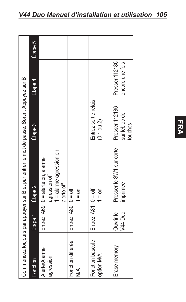|                                                                                            | Etape 5<br>Etape 4 |                                                                                               |                           |                                       | Presser 112186<br>encore une fois          |
|--------------------------------------------------------------------------------------------|--------------------|-----------------------------------------------------------------------------------------------|---------------------------|---------------------------------------|--------------------------------------------|
|                                                                                            | Étape 3            |                                                                                               |                           | Entrez sortie relais<br>$(0, 1$ ou 2) | Presser 112186<br>sur lebloc de<br>touches |
| Commencez toujours par appuyer sur B et par entrer le mot de passe. Sortir : Appuyez sur B | Etape 2            | 1 = alarme agression on,<br>Entrez $A69 0 =$ alerte on, alarme<br>agression off<br>alerte off | $1 =$ on                  | $1 =$ on                              | Presser le SW1 sur carte<br>imprimée       |
|                                                                                            | Etape 1            |                                                                                               | Entrez A80 $\mid$ 0 = off | Entrez A81 $\vert$ 0 = off            | <b>Ouvrir</b> le<br>V44 Duo                |
|                                                                                            | Fonction           | Alerte/Alarme<br>agression                                                                    | Fonction differee<br>MIA  | Fonction bascule<br>option M/A        | Erase memory                               |

| V44 Duo Manuel d'installation et utilisation 105 |
|--------------------------------------------------|
|--------------------------------------------------|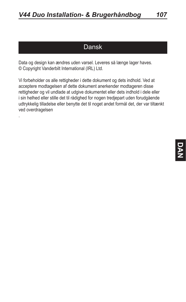#### Dansk

Data og design kan ændres uden varsel. Leveres så længe lager haves. © Copyright Vanderbilt International (IRL) Ltd.

Vi forbeholder os alle rettigheder i dette dokument og dets indhold. Ved at acceptere modtagelsen af dette dokument anerkender modtageren disse rettigheder og vil undlade at udgive dokumentet eller dets indhold i dele eller i sin helhed eller stille det til rådighed for nogen tredjepart uden forudgående udtrykkelig tilladelse eller benytte det til noget andet formål det, der var tiltænkt ved overdragelsen

.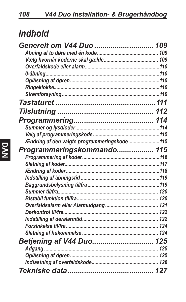# **Indhold**

108

| Generelt om V44 Duo  109                    |  |
|---------------------------------------------|--|
|                                             |  |
|                                             |  |
|                                             |  |
|                                             |  |
|                                             |  |
|                                             |  |
|                                             |  |
|                                             |  |
|                                             |  |
|                                             |  |
|                                             |  |
|                                             |  |
| Ændring af den valgte programmeringskode115 |  |
| Programmeringskommando 115                  |  |
|                                             |  |
|                                             |  |
|                                             |  |
|                                             |  |
|                                             |  |
|                                             |  |
|                                             |  |
|                                             |  |
|                                             |  |
|                                             |  |
|                                             |  |
|                                             |  |
| Betjening af V44 Duo 125                    |  |
|                                             |  |
|                                             |  |
|                                             |  |
|                                             |  |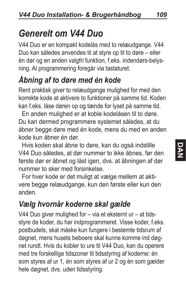# *Generelt om V44 Duo*

V44 Duo er en kompakt kodelås med to relæudgange. V44 Duo kan således anvendes til at styre op til to døre – eller én dør og en anden valgfri funktion, f.eks. indendørs-belysning. Al programmering foregår via tastaturet.

#### *Åbning af to døre med én kode*

Rent praktisk giver to relæudgange mulighed for med den korrekte kode at aktivere to funktioner på samme tid. Koden kan f.eks. låse døren op og tænde for lyset på samme tid.

En anden mulighed er at koble kodelåsen til to døre. Du kan dermed programmere systemet således, at du åbner begge døre med én kode, mens du med en anden kode kun åbner én dør.

Hvis koden skal åbne to døre, kan du også indstille V44 Duo således, at dør nummer to ikke åbnes, før den første dør er åbnet og låst igen, dvs. at åbningen af dør nummer to sker med forsinkelse.

For hver kode er det muligt at vælge mellem at aktivere begge relæudgange, kun den første eller kun den anden.

#### *Vælg hvornår koderne skal gælde*

V44 Duo giver mulighed for – via et eksternt ur – at tidsstyre de koder, du har indprogrammeret. Visse koder, f.eks. postbudets, skal måske kun fungere i bestemte tidsrum af døgnet, mens husets beboere skal kunne komme ind døgnet rundt. Hvis du kobler to ure til V44 Duo, kan du operere med tre forskellige tidszoner til tidsstyring af koderne: én som styres af ur 1, én som styres af ur 2 og én som gælder hele døgnet, dvs. uden tidsstyring.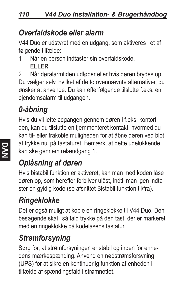# *Overfaldskode eller alarm*

V44 Duo er udstyret med en udgang, som aktiveres i et af følgende tilfælde:

1 Når en person indtaster sin overfaldskode. **ELLER**

2 Når døralarmtiden udløber eller hvis døren brydes op. Du vælger selv, hvilket af de to ovennævnte alternativer, du ønsker at anvende. Du kan efterfølgende tilslutte f.eks. en ejendomsalarm til udgangen.

# *0-åbning*

Hvis du vil lette adgangen gennem døren i f.eks. kontortiden, kan du tilslutte en fjernmonteret kontakt, hvormed du kan til- eller frakoble muligheden for at åbne døren ved blot at trykke nul på tastaturet. Bemærk, at dette udelukkende kan ske gennem relæudgang 1.

# *Oplåsning af døren*

Hvis bistabil funktion er aktiveret, kan man med koden låse døren op, som herefter forbliver ulåst, indtil man igen indtaster en gyldig kode (se afsnittet Bistabil funktion til/fra).

# *Ringeklokke*

Det er også muligt at koble en ringeklokke til V44 Duo. Den besøgende skal i så fald trykke på den tast, der er markeret med en ringeklokke på kodelåsens tastatur.

# *Strømforsyning*

Sørg for, at strømforsyningen er stabil og inden for enhedens mærkespænding. Anvend en nødstrømsforsyning (UPS) for at sikre en kontinuerlig funktion af enheden i tilfælde af spændingsfald i strømnettet.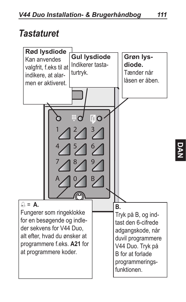# *Tastaturet*

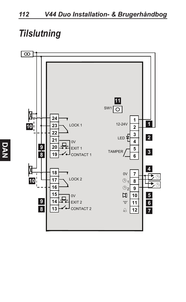# *Tilslutning*

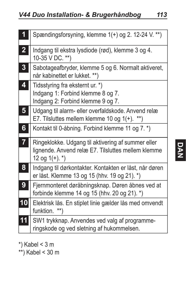| 1              | Spændingsforsyning, klemme 1(+) og 2. 12-24 V. **)                                                                            |
|----------------|-------------------------------------------------------------------------------------------------------------------------------|
| $\overline{2}$ | Indgang til ekstra lysdiode (rød), klemme 3 og 4.<br>10-35 V DC. **)                                                          |
| 3              | Sabotageafbryder, klemme 5 og 6. Normalt aktiveret,<br>når kabinettet er lukket. **)                                          |
| 4              | Tidsstyring fra eksternt ur. *)<br>Indgang 1: Forbind klemme 8 og 7.<br>Indgang 2: Forbind klemme 9 og 7.                     |
| 5              | Udgang til alarm- eller overfaldskode. Anvend relæ<br>E7. Tilsluttes mellem klemme 10 og $1(+)$ . **)                         |
| 6              | Kontakt til 0-åbning. Forbind klemme 11 og 7. *)                                                                              |
| 7              | Ringeklokke. Udgang til aktivering af summer eller<br>lignende. Anvend relæ E7. Tilsluttes mellem klemme<br>12 og $1(+)$ . *) |
| 8              | Indgang til dørkontakter. Kontakten er låst, når døren<br>er låst. Klemme 13 og 15 (hhv. 19 og 21). *)                        |
| 9              | Fjernmonteret døråbningsknap. Døren åbnes ved at<br>forbinde klemme 14 og 15 (hhv. 20 og 21). *)                              |
| 10             | Elektrisk lås. En stiplet linie gælder lås med omvendt<br>funktion. **)                                                       |
| 11             | SW1 trykknap. Anvendes ved valg af programme-<br>ringskode og ved sletning af hukommelsen.                                    |

 $*$ ) Kabel < 3 m

\*\*) Kabel < 30 m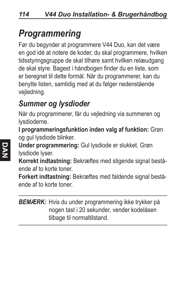# *Programmering*

Før du begynder at programmere V44 Duo, kan det være en god idé at notere de koder, du skal programmere, hvilken tidsstyringsgruppe de skal tilhøre samt hvilken relæudgang de skal styre. Bagest i håndbogen finder du en liste, som er beregnet til dette formål. Når du programmerer, kan du benytte listen, samtidig med at du følger nedenstående vejledning.

## *Summer og lysdioder*

Når du programmerer, får du vejledning via summeren og lysdioderne.

**I programmeringsfunktion inden valg af funktion:** Grøn og gul lysdiode blinker.

**Under programmering:** Gul lysdiode er slukket. Grøn lysdiode lyser.

**Korrekt indtastning:** Bekræftes med stigende signal bestående af to korte toner.

**Forkert indtastning:** Bekræftes med faldende signal bestående af to korte toner.

*BEMÆRK:* Hvis du under programmering ikke trykker på nogen tast i 20 sekunder, vender kodelåsen tilbage til normaltilstand.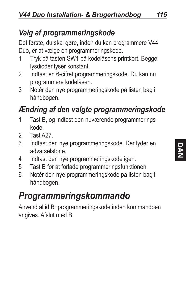## *Valg af programmeringskode*

Det første, du skal gøre, inden du kan programmere V44 Duo, er at vælge en programmeringskode.

- 1 Tryk på tasten SW1 på kodelåsens printkort. Begge lysdioder lyser konstant.
- 2 Indtast en 6-cifret programmeringskode. Du kan nu programmere kodelåsen.
- 3 Notér den nye programmeringskode på listen bag i håndbogen.

#### *Ændring af den valgte programmeringskode*

- 1 Tast B, og indtast den nuværende programmeringskode.
- 2 Tast A27.<br>3 Indtast de
- Indtast den nye programmeringskode. Der lyder en advarselstone.
- 4 Indtast den nye programmeringskode igen.<br>5 Tast B for at forlade programmeringsfunktig
- Tast B for at forlade programmeringsfunktionen.
- 6 Notér den nye programmeringskode på listen bag i håndbogen.

# *Programmeringskommando*

Anvend altid B+programmeringskode inden kommandoen angives. Afslut med B.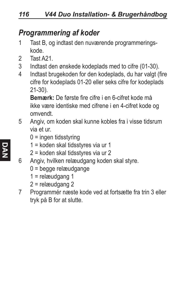## *Programmering af koder*

- 1 Tast B, og indtast den nuværende programmeringskode.
- 2 Tast A21.
- 3 Indtast den ønskede kodeplads med to cifre (01-30).
- 4 Indtast brugekoden for den kodeplads, du har valgt (fire cifre for kodeplads 01-20 eller seks cifre for kodeplads 21-30).

**Bemærk:** De første fire cifre i en 6-cifret kode må ikke være identiske med cifrene i en 4-cifret kode og omvendt.

5 Angiv, om koden skal kunne kobles fra i visse tidsrum via et ur.

0 = ingen tidsstyring

- 1 = koden skal tidsstyres via ur 1
- 2 = koden skal tidsstyres via ur 2
- 6 Angiv, hvilken relæudgang koden skal styre.
	- 0 = begge relæudgange
	- 1 = relæudgang 1
	- 2 = relæudgang 2
- 7 Programmér næste kode ved at fortsætte fra trin 3 eller tryk på B for at slutte.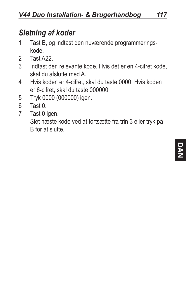#### *Sletning af koder*

- 1 Tast B, og indtast den nuværende programmeringskode.
- 2 Tast A22.<br>3 Indtast de
- Indtast den relevante kode. Hvis det er en 4-cifret kode. skal du afslutte med A.
- 4 Hvis koden er 4-cifret, skal du taste 0000. Hvis koden er 6-cifret, skal du taste 000000
- 5 Tryk 0000 (000000) igen.
- 6 Tast 0.<br>7 Tast 0.
- Tast 0 igen.

Slet næste kode ved at fortsætte fra trin 3 eller tryk på B for at slutte.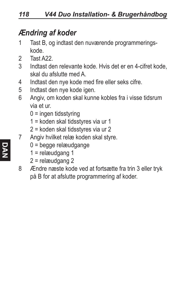#### *Ændring af koder*

- 1 Tast B, og indtast den nuværende programmeringskode.
- 2 Tast A22.<br>3 Indtast de
- Indtast den relevante kode. Hvis det er en 4-cifret kode. skal du afslutte med A.
- 4 Indtast den nye kode med fire eller seks cifre.<br>5 Indtast den nye kode igen.
- Indtast den nye kode igen.
- 6 Angiv, om koden skal kunne kobles fra i visse tidsrum via et ur.
	- 0 = ingen tidsstyring
	- 1 = koden skal tidsstyres via ur 1
	- 2 = koden skal tidsstyres via ur 2
- 7 Angiv hvilket relæ koden skal styre.
	- 0 = begge relæudgange
	- $1$  = relæudgang 1
	- 2 = relæudgang 2
- 8 Ændre næste kode ved at fortsætte fra trin 3 eller tryk på B for at afslutte programmering af koder.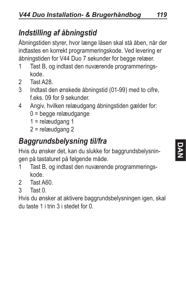### *Indstilling af åbningstid*

Åbningstiden styrer, hvor længe låsen skal stå åben, når der indtastes en korrekt programmeringskode. Ved levering er åbningstiden for V44 Duo 7 sekunder for begge relæer.

- 1 Tast B, og indtast den nuværende programmeringskode.
- 2 Tast A28.<br>3 Indtast de
- Indtast den ønskede åbningstid (01-99) med to cifre. f.eks. 09 for 9 sekunder.
- 4 Angiv, hvilken relæudgang åbningstiden gælder for:
	- 0 = begge relæudgange
	- 1 = relæudgang 1
	- 2 = relæudgang 2

### *Baggrundsbelysning til/fra*

Hvis du ønsker det, kan du slukke for baggrundsbelysningen på tastaturet på følgende måde.

- 1 Tast B, og indtast den nuværende programmeringskode.
- 2 Tast A60.
- 3 Tast 0.

Hvis du ønsker at aktivere baggrundsbelysningen igen, skal du taste 1 i trin 3 i stedet for 0.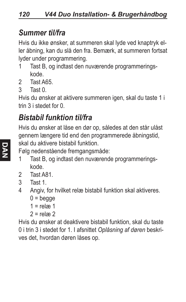### *Summer til/fra*

Hvis du ikke ønsker, at summeren skal lyde ved knaptryk eller åbning, kan du slå den fra. Bemærk, at summeren fortsat lyder under programmering.

- 1 Tast B, og indtast den nuværende programmeringskode.
- 2 Tast A65.<br>3 Tast 0
- Tast 0.

Hvis du ønsker at aktivere summeren igen, skal du taste 1 i trin 3 i stedet for 0.

## *Bistabil funktion til/fra*

Hvis du ønsker at låse en dør op, således at den står ulåst gennem længere tid end den programmerede åbningstid, skal du aktivere bistabil funktion.

Følg nedenstående fremgangsmåde:

- 1 Tast B, og indtast den nuværende programmeringskode.
- 2 Tast A81.<br>3 Tast 1.
	- Tast 1.
- 4 Angiv, for hvilket relæ bistabil funktion skal aktiveres.  $0 = \text{be}$ gge

```
1 = relæ 1
```
 $2 =$ relæ 2

Hvis du ønsker at deaktivere bistabil funktion, skal du taste 0 i trin 3 i stedet for 1. I afsnittet *Oplåsning af døren* beskrives det, hvordan døren låses op.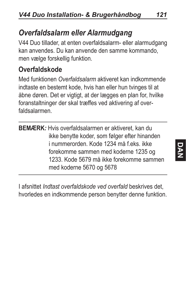#### *Overfaldsalarm eller Alarmudgang*

V44 Duo tillader, at enten overfaldsalarm- eller alarmudgang kan anvendes. Du kan anvende den samme kommando, men vælge forskellig funktion.

#### **Overfaldskode**

Med funktionen *Overfaldsalarm* aktiveret kan indkommende indtaste en bestemt kode, hvis han eller hun tvinges til at åbne døren. Det er vigtigt, at der lægges en plan for, hvilke foranstaltninger der skal træffes ved aktivering af overfaldsalarmen.

**BEMÆRK***:* Hvis overfaldsalarmen er aktiveret, kan du ikke benytte koder, som følger efter hinanden i nummerorden. Kode 1234 må f.eks. ikke forekomme sammen med koderne 1235 og 1233. Kode 5679 må ikke forekomme sammen med koderne 5670 og 5678

I afsnittet *Indtast overfaldskode ved overfald* beskrives det, hvorledes en indkommende person benytter denne funktion.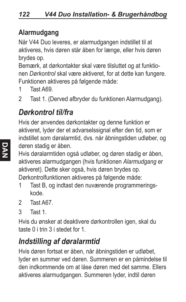#### **Alarmudgang**

Når V44 Duo leveres, er alarmudgangen indstillet til at aktiveres, hvis døren står åben for længe, eller hvis døren brydes op.

Bemærk, at dørkontakter skal være tilsluttet og at funktionen *Dørkontrol* skal være aktiveret, for at dette kan fungere. Funktionen aktiveres på følgende måde:

- 1 Tast A69.
- 2 Tast 1. (Derved afbryder du funktionen Alarmudgang).

#### *Dørkontrol til/fra*

Hvis der anvendes dørkontakter og denne funktion er aktiveret, lyder der et advarselssignal efter den tid, som er indstillet som døralarmtid, dvs. når åbningstiden udløber, og døren stadig er åben.

Hvis døralarmtiden også udløber, og døren stadig er åben, aktiveres alarmudgangen (hvis funktionen *Alarmudgang* er aktiveret). Dette sker også, hvis døren brydes op. Dørkontrolfunktionen aktiveres på følgende måde:

- 1 Tast B, og indtast den nuværende programmeringskode.
- 2 Tast A67.
- 3 Tast 1.

Hvis du ønsker at deaktivere dørkontrollen igen, skal du taste 0 i trin 3 i stedet for 1.

### *Indstilling af døralarmtid*

Hvis døren fortsat er åben, når åbningstiden er udløbet, lyder en summer ved døren. Summeren er en påmindelse til den indkommende om at låse døren med det samme. Ellers aktiveres alarmudgangen. Summeren lyder, indtil døren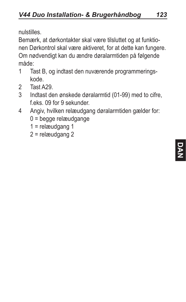nulstilles.

Bemærk, at dørkontakter skal være tilsluttet og at funktionen Dørkontrol skal være aktiveret, for at dette kan fungere. Om nødvendigt kan du ændre døralarmtiden på følgende måde:

- 1 Tast B, og indtast den nuværende programmeringskode.
- 2 Tast A29.<br>3 Indiast de
- Indtast den ønskede døralarmtid (01-99) med to cifre, f.eks. 09 for 9 sekunder.
- 4 Angiv, hvilken relæudgang døralarmtiden gælder for: 0 = begge relæudgange
	- $1$  = relæudgang 1
	- $2$  = relæudgang 2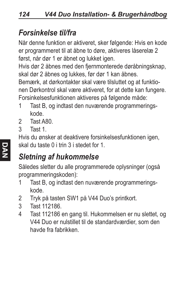## *Forsinkelse til/fra*

Når denne funktion er aktiveret, sker følgende: Hvis en kode er programmeret til at åbne to døre, aktiveres låserelæ 2 først, når dør 1 er åbnet og lukket igen.

Hvis dør 2 åbnes med den fiernmonterede døråbningsknap. skal dør 2 åbnes og lukkes, før dør 1 kan åbnes.

Bemærk, at dørkontakter skal være tilsluttet og at funktionen Dørkontrol skal være aktiveret, for at dette kan fungere. Forsinkelsesfunktionen aktiveres på følgende måde:

- 1 Tast B, og indtast den nuværende programmeringskode.
- 2 Tast A80.<br>3 Tast 1
- Tast 1

Hvis du ønsker at deaktivere forsinkelsesfunktionen igen, skal du taste 0 i trin 3 i stedet for 1.

# *Sletning af hukommelse*

Således sletter du alle programmerede oplysninger (også programmeringskoden):

- 1 Tast B, og indtast den nuværende programmeringskode.
- 2 Tryk på tasten SW1 på V44 Duo's printkort.<br>3 Tast 112186.
- Tast 112186
- 4 Tast 112186 en gang til. Hukommelsen er nu slettet, og V44 Duo er nulstillet til de standardværdier, som den havde fra fabrikken.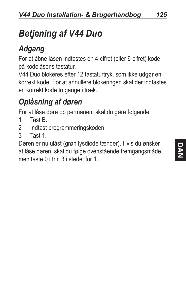# *Betjening af V44 Duo*

### *Adgang*

For at åbne låsen indtastes en 4-cifret (eller 6-cifret) kode på kodelåsens tastatur.

V44 Duo blokeres efter 12 tastaturtryk, som ikke udgør en korrekt kode. For at annullere blokeringen skal der indtastes en korrekt kode to gange i træk.

#### *Oplåsning af døren*

For at låse døre op permanent skal du gøre følgende:

- 1 Tast B.
- 2 Indtast programmeringskoden.<br>3 Tast 1
- Tast 1

Døren er nu ulåst (grøn lysdiode tænder). Hvis du ønsker at låse døren, skal du følge ovenstående fremgangsmåde, men taste 0 i trin 3 i stedet for 1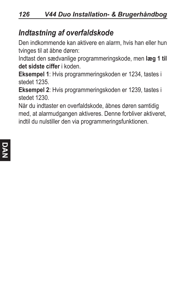# *Indtastning af overfaldskode*

Den indkommende kan aktivere en alarm, hvis han eller hun tvinges til at åbne døren:

Indtast den sædvanlige programmeringskode, men **læg 1 til det sidste ciffer** i koden.

**Eksempel 1**: Hvis programmeringskoden er 1234, tastes i stedet 1235.

**Eksempel 2**: Hvis programmeringskoden er 1239, tastes i stedet 1230.

Når du indtaster en overfaldskode, åbnes døren samtidig med, at alarmudgangen aktiveres. Denne forbliver aktiveret, indtil du nulstiller den via programmeringsfunktionen.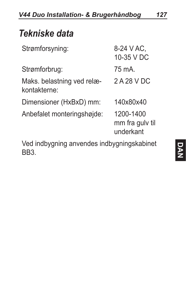# *Tekniske data*

| Strømforsyning:                            | 8-24 V AC.<br>10-35 V DC                  |
|--------------------------------------------|-------------------------------------------|
| Strømforbrug:                              | 75 mA                                     |
| Maks. belastning ved relæ-<br>kontakterne: | 2 A 28 V DC                               |
| Dimensioner (HxBxD) mm:                    | 140x80x40                                 |
| Anbefalet monteringshøjde:                 | 1200-1400<br>mm fra gulv til<br>underkant |

Ved indbygning anvendes indbygningskabinet BB3.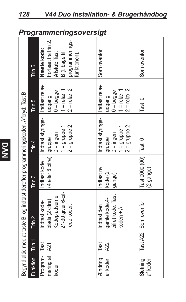|                                                                                       | Trin 6            | Fortsæt fra trin 2.<br>programmerings-<br>Næste kode:<br>Afslut: Tast<br>funktionen).<br>B (tilbage til | Som oventor                                                                    | Som oventor.                         |
|---------------------------------------------------------------------------------------|-------------------|---------------------------------------------------------------------------------------------------------|--------------------------------------------------------------------------------|--------------------------------------|
| Begynd altid med at taste B, og indtast derefter programmeringskoden. Afbryd: Tast B. | Trin 5            | Indtastrelæ-<br>$2 =$ relæ 2<br>$0 = \text{begge}$<br>$1 =$ relæ<br>puebpn                              | Indtast relæ-<br>$2 =$ relæ 2<br>$0 = \text{begge}$<br>$i =$ relæ<br>udgang    | Tast 0                               |
|                                                                                       | Trin 4            | Indtast styrings-<br>$2 =$ gruppe $2$<br>$1 =$ gruppe<br>$0 = ingen$                                    | Indtast styrings-<br>$2 =$ gruppe $2$<br>$1 =$ gruppe<br>$0 = ingen$<br>gruppe |                                      |
|                                                                                       | Trin <sub>3</sub> | 4 eller 6 cifre) gruppe<br>Indtast kode                                                                 | Indtast ny<br>kode (2<br>gange)                                                | Tast 0000 (00)   Tast 0<br>(2 gange) |
|                                                                                       | Trin <sub>2</sub> | 21-30 giver 6-cif-<br>Kodepladseme<br>plads (2 cifre)<br>Indtast kode-<br>rede koder.                   | cifret kode: Tast<br>gamle kode.4-<br>ndtast den<br>koden + A                  | Tast A22 Som ovenfor                 |
|                                                                                       | Trin <sub>1</sub> |                                                                                                         | <b>A22</b><br>Tast                                                             |                                      |
|                                                                                       | Funktion          | Program-   Tast<br>mering af   A21<br>koder                                                             | <b>Ændring</b><br>af koder                                                     | Sletning<br>af koder                 |

*Programmeringsoversigt*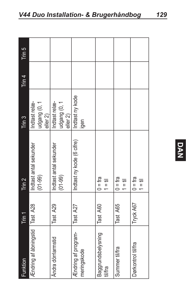| Funktion                         | Trin <sub>1</sub> | Trin <sub>2</sub>         | Trin 3               | Trin <sub>4</sub> | Trin 5 |
|----------------------------------|-------------------|---------------------------|----------------------|-------------------|--------|
| Ændring af åbningstid   Tast A28 |                   | Indtast antal sekunder    | Indtast relæ-        |                   |        |
|                                  |                   | $(01 - 99)$               | udgang (0, 1         |                   |        |
|                                  |                   |                           | eller <sub>2</sub> ) |                   |        |
| Ändra dörrlarmstid               | Tast A29          | Indtast antal sekunder    | Indtast relæ-        |                   |        |
|                                  |                   | $(01-99)$                 | udgang (0, 1         |                   |        |
|                                  |                   |                           | eller <sub>2</sub> ) |                   |        |
| Ændring af program-              | Tast A27          | Indtast ny kode (6 cifre) | Indtast ny kode      |                   |        |
| meringskode                      |                   |                           | igen                 |                   |        |
|                                  |                   |                           |                      |                   |        |
| Baggrundsbelysning               | Tast A60          | $0 =$ fra                 |                      |                   |        |
| til/fra                          |                   | $1 = 11$                  |                      |                   |        |
| Summer til/fra                   | Tast A65          | $0 =$ fra                 |                      |                   |        |
|                                  |                   | $1 = t$ il                |                      |                   |        |
| Dørkontrol til/fra               | Tryck A67         | $0 =$ fra                 |                      |                   |        |
|                                  |                   | $1 = 11$                  |                      |                   |        |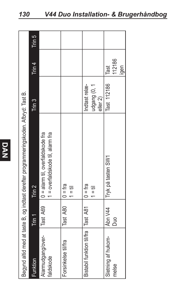|                                      |                       | Begynd altid med at taste B, og indtast derefter programmeringskoden. Afbryd: Tast B. |                                                       |                        |        |
|--------------------------------------|-----------------------|---------------------------------------------------------------------------------------|-------------------------------------------------------|------------------------|--------|
| Eunktion                             | Trin <sub>1</sub>     | Trin 2                                                                                | Trin 3                                                | Trin 4                 | Trin 5 |
| Alarmudgang/over-<br>faldskode       | Tast A69              | 0 = alarm til, overfaldskode fra<br>1 = overfaldskode til, alarm fra                  |                                                       |                        |        |
| Forsinkelse til/fra                  | Tast A80              | $0 =$ fra<br>$1 = 11$                                                                 |                                                       |                        |        |
| Bistabil funktion til/fra   Tast A81 |                       | $0 =$ fra<br>$1 = 11$                                                                 | Indtast relæ-<br>udgang (0, 1<br>eller <sub>2</sub> ) |                        |        |
| Sletning af hukom-<br>melse          | Abn V44<br><b>DuC</b> | Tryk på tasten SW1                                                                    | Tast 112186                                           | 112186<br>igen<br>Tast |        |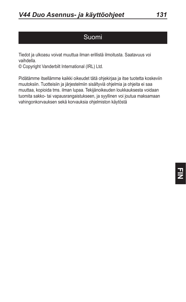#### Suomi

Tiedot ja ulkoasu voivat muuttua ilman erillistä ilmoitusta. Saatavuus voi vaihdella.

© Copyright Vanderbilt International (IRL) Ltd.

Pidätämme itsellämme kaikki oikeudet tätä ohjekirjaa ja itse tuotetta koskeviin muutoksiin. Tuotteisiin ja järjestelmiin sisältyviä ohjelmia ja ohjeita ei saa muuttaa, kopioida tms. ilman lupaa. Tekijänoikeuden loukkauksesta voidaan tuomita sakko- tai vapausrangaistukseen, ja syyllinen voi joutua maksamaan vahingonkorvauksen sekä korvauksia ohjelmiston käytöstä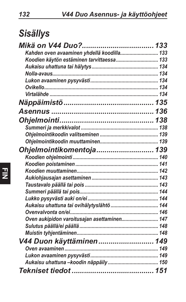# *Sisällys*

| Kahden oven avaaminen yhdellä koodilla 133  |  |
|---------------------------------------------|--|
| Koodien käytön estäminen tarvittaessa 133   |  |
|                                             |  |
|                                             |  |
|                                             |  |
|                                             |  |
|                                             |  |
|                                             |  |
|                                             |  |
|                                             |  |
|                                             |  |
|                                             |  |
|                                             |  |
| Ohjelmointikomentoja 139                    |  |
|                                             |  |
|                                             |  |
|                                             |  |
|                                             |  |
|                                             |  |
|                                             |  |
|                                             |  |
|                                             |  |
|                                             |  |
| Oven aukipidon varoitusajan asettaminen 147 |  |
|                                             |  |
|                                             |  |
| V44 Duon käyttäminen 149                    |  |
|                                             |  |
|                                             |  |
|                                             |  |
|                                             |  |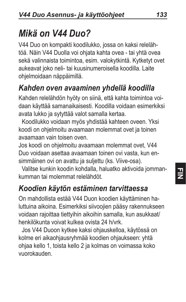# <span id="page-132-0"></span>*Mikä on V44 Duo?*

V44 Duo on kompakti koodilukko, jossa on kaksi relelähtöä. Näin V44 Duolla voi ohjata kahta ovea - tai yhtä ovea sekä valinnaista toimintoa, esim. valokytkintä. Kytketyt ovet aukeavat joko neli- tai kuusinumeroisella koodilla. Laite ohjelmoidaan näppäimillä.

### *Kahden oven avaaminen yhdellä koodilla*

Kahden relelähdön hyöty on siinä, että kahta toimintoa voidaan käyttää samanaikaisesti. Koodilla voidaan esimerkiksi avata lukko ja sytyttää valot samalla kertaa.

Koodilukko voidaan myös yhdistää kahteen oveen. Yksi koodi on ohjelmoitu avaamaan molemmat ovet ja toinen avaamaan vain toisen oven.

Jos koodi on ohjelmoitu avaamaan molemmat ovet, V44 Duo voidaan asettaa avaamaan toinen ovi vasta, kun ensimmäinen ovi on avattu ja suljettu (ks. Viive-osa).

Valitse kunkin koodin kohdalla, haluatko aktivoida jommankumman tai molemmat relelähdöt.

### *Koodien käytön estäminen tarvittaessa*

On mahdollista estää V44 Duon koodien käyttäminen haluttuina aikoina. Esimerkiksi siivoojien pääsy rakennukseen voidaan rajoittaa tiettyihin aikoihin samalla, kun asukkaat/ henkilökunta voivat kulkea ovista 24 h/vrk.

Jos V44 Duoon kytkee kaksi ohjauskelloa, käytössä on kolme eri aikaohjausryhmää koodien ohjaukseen: yhtä ohjaa kello 1, toista kello 2 ja kolmas on voimassa koko vuorokauden.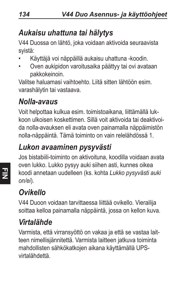# <span id="page-133-0"></span>*Aukaisu uhattuna tai hälytys*

V44 Duossa on lähtö, joka voidaan aktivoida seuraavista syistä:

- Käyttäjä voi näppäillä aukaisu uhattuna -koodin.
- Oven aukipidon varoitusaika päättyy tai ovi avataan pakkokeinoin.

Valitse haluamasi vaihtoehto. Liitä sitten lähtöön esim. varashälytin tai vastaava.

#### *Nolla-avaus*

Voit helpottaa kulkua esim. toimistoaikana, liittämällä lukkoon ulkoisen koskettimen. Sillä voit aktivoida tai deaktivoida nolla-avauksen eli avata oven painamalla näppäimistön nolla-näppäintä. Tämä toiminto on vain relelähdössä 1.

# *Lukon avaaminen pysyvästi*

Jos bistabiili-toiminto on aktivoituna, koodilla voidaan avata oven lukko. Lukko pysyy auki siihen asti, kunnes oikea koodi annetaan uudelleen (ks. kohta *Lukko pysyvästi auki on/ei*).

# *Ovikello*

V44 Duoon voidaan tarvittaessa liittää ovikello. Vierailija soittaa kelloa painamalla näppäintä, jossa on kellon kuva.

### *Virtalähde*

Varmista, että virransyöttö on vakaa ja että se vastaa laitteen nimellisjännitettä. Varmista laitteen jatkuva toiminta mahdollisten sähkökatkojen aikana käyttämällä UPSvirtalähdettä.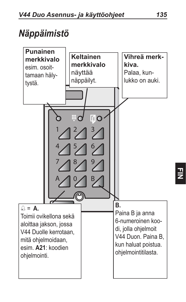# <span id="page-134-0"></span>*Näppäimistö*



コ<br>ラ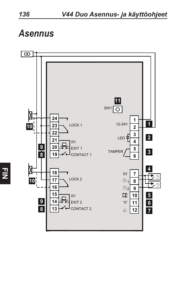# <span id="page-135-0"></span>*Asennus*



F<sub>IN</sub>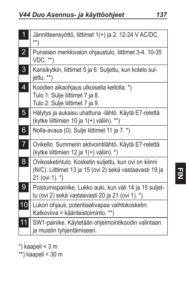| 1              | Jännitteensyöttö, liittimet 1(+) ja 2. 12-24 V AC/DC.<br>$^{\ast\ast}$                                                              |
|----------------|-------------------------------------------------------------------------------------------------------------------------------------|
| $\overline{2}$ | Punaisen merkkivalon ohjaustulo, liittimet 3-4. 10-35<br>$VDC.**)$                                                                  |
| 3              | Kansikytkin, liittimet 5 ja 6. Suljettu, kun kotelo sul-<br>jettu. **)                                                              |
| 4              | Koodien aikaohjaus ulkoisella kellolla. *)<br>Tulo 1: Sulje liittimet 7 ja 8.<br>Tulo 2: Sulje liittimet 7 ja 9.                    |
| 5              | Hälytys ja aukaisu uhattuna -lähtö. Käytä E7-relettä<br>(kytke liittimien 10 ja 1(+) väliin). **)                                   |
| 6              | Nolla-avaus (0). Sulje liittimet 11 ja 7. *)                                                                                        |
| 7              | Ovikello. Summerin aktivointilähtö. Käytä E7-relettä<br>(kytke liittimien 12 ja 1(+) väliin). *)                                    |
| 8              | Ovikosketintulo. Kosketin suljettu, kun ovi on kiinni<br>(N/C). Liittimet 13 ja 15 (ovi 2) sekä vastaavasti 19 ja<br>21 (ovi 1). *) |
| 9              | Poistumispainike. Lukko auki, kun väli 14 ja 15 suljet-<br>tu (ovi 2) sekä vastaavasti 20 ja 21 (ovi 1). *)                         |
| 10             | Lukon ohjaus, potentiaalivapaa vaihtokosketin.<br>Katkoviiva = käänteistoiminto. **)                                                |
| 11             | SW1-painike. Käytetään ohjelmointikoodin valintaan<br>ja muistin tyhjentämiseen.                                                    |

 $**$ ) kaapeli < 30 m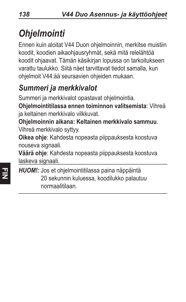# <span id="page-137-0"></span>*Ohjelmointi*

Ennen kuin aloitat V44 Duon ohjelmoinnin, merkitse muistiin koodit, koodien aikaohjausryhmät, sekä mitä relelähtöä koodit ohjaavat. Tämän käsikirjan lopussa on tarkoitukseen varattu taulukko. Siitä näet tarvittavat tiedot samalla, kun ohjelmoit V44:ää seuraavien ohjeiden mukaan.

# *Summeri ja merkkivalot*

Summeri ja merkkivalot opastavat ohjelmointia.

**Ohjelmointitilassa ennen toiminnon valitsemista**: Vihreä ja keltainen merkkivalo vilkkuvat.

**Ohjelmoinnin aikana: Keltainen merkkivalo sammuu**. Vihreä merkkivalo syttyy.

**Oikea ohje**: Kahdesta nopeasta piippauksesta koostuva nouseva signaali.

**Väärä ohje**: Kahdesta nopeasta piippauksesta koostuva laskeva signaali.

*HUOM!:* Jos et ohjelmointitilassa paina näppäintä 20 sekunnin kuluessa, koodilukko palautuu normaalitilaan.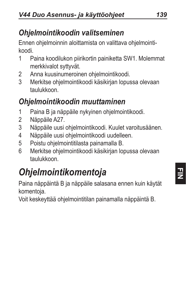# <span id="page-138-0"></span>*Ohjelmointikoodin valitseminen*

Ennen ohjelmoinnin aloittamista on valittava ohjelmointikoodi.

- 1 Paina koodilukon piirikortin painiketta SW1. Molemmat merkkivalot syttyvät.
- 2 Anna kuusinumeroinen ohjelmointikoodi.<br>3 Merkitse ohjelmointikoodi käsikirjan lopus
- Merkitse ohjelmointikoodi käsikirjan lopussa olevaan taulukkoon.

### *Ohjelmointikoodin muuttaminen*

- 1 Paina B ja näppäile nykyinen ohjelmointikoodi.
- 2 Näppäile A27.<br>3 Näppäile uusi
- Näppäile uusi ohjelmointikoodi. Kuulet varoitusäänen.
- 4 Näppäile uusi ohjelmointikoodi uudelleen.
- 5 Poistu ohjelmointitilasta painamalla B.
- 6 Merkitse ohjelmointikoodi käsikirjan lopussa olevaan taulukkoon.

# *Ohjelmointikomentoja*

Paina näppäintä B ja näppäile salasana ennen kuin käytät komentoja.

Voit keskeyttää ohjelmointitilan painamalla näppäintä B.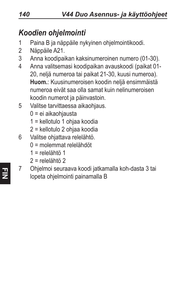# <span id="page-139-0"></span>*Koodien ohjelmointi*

- 1 Paina B ja näppäile nykyinen ohjelmointikoodi.
- Näppäile A21.
- 3 Anna koodipaikan kaksinumeroinen numero (01-30).
- 4 Anna valitsemasi koodipaikan avauskoodi (paikat 01- 20, neljä numeroa tai paikat 21-30, kuusi numeroa). **Huom.**: Kuusinumeroisen koodin neljä ensimmäistä numeroa eivät saa olla samat kuin nelinumeroisen koodin numerot ja päinvastoin.
- 5 Valitse tarvittaessa aikaohjaus.
	- 0 = ei aikaohjausta
	- 1 = kellotulo 1 ohjaa koodia
	- 2 = kellotulo 2 ohjaa koodia
- 6 Valitse ohjattava relelähtö.
	- 0 = molemmat relelähdöt
	- 1 = relelähtö 1
	- 2 = relelähtö 2
- 7 Ohjelmoi seuraava koodi jatkamalla koh-dasta 3 tai lopeta ohjelmointi painamalla B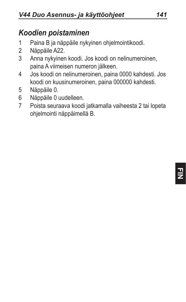#### <span id="page-140-0"></span>*Koodien poistaminen*

- 1 Paina B ja näppäile nykyinen ohjelmointikoodi.
- Näppäile A22.
- 3 Anna nykyinen koodi. Jos koodi on nelinumeroinen, paina A viimeisen numeron jälkeen.
- 4 Jos koodi on nelinumeroinen, paina 0000 kahdesti. Jos koodi on kuusinumeroinen, paina 000000 kahdesti.
- 5 Näppäile 0.
- 6 Näppäile 0 uudelleen.<br>7 Poista seuraava koodi
- 7 Poista seuraava koodi jatkamalla vaiheesta 2 tai lopeta ohjelmointi näppäimellä B.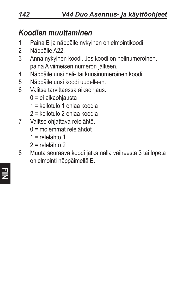### <span id="page-141-0"></span>*Koodien muuttaminen*

- 1 Paina B ja näppäile nykyinen ohjelmointikoodi.
- Näppäile A22.
- 3 Anna nykyinen koodi. Jos koodi on nelinumeroinen, paina A viimeisen numeron jälkeen.
- 4 Näppäile uusi neli- tai kuusinumeroinen koodi.<br>5 Näppäile uusi koodi uudelleen.
- 5 Näppäile uusi koodi uudelleen.<br>6 Valitse tarvittaessa aikaohiaus.
- Valitse tarvittaessa aikaohiaus.

0 = ei aikaohjausta

- 1 = kellotulo 1 ohjaa koodia
- 2 = kellotulo 2 ohjaa koodia
- 7 Valitse ohjattava relelähtö.
	- 0 = molemmat relelähdöt
	- 1 = relelähtö 1
	- 2 = relelähtö 2
- 8 Muuta seuraava koodi jatkamalla vaiheesta 3 tai lopeta ohjelmointi näppäimellä B.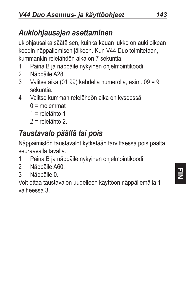# <span id="page-142-0"></span>*Aukiohjausajan asettaminen*

ukiohjausaika säätä sen, kuinka kauan lukko on auki oikean koodin näppäilemisen jälkeen. Kun V44 Duo toimitetaan, kummankin relelähdön aika on 7 sekuntia.

- 1 Paina B ja näppäile nykyinen ohjelmointikoodi.
- 2 Näppäile A28.<br>3 Valitse aika (0
- 3 Valitse aika (01 99) kahdella numerolla, esim. 09 = 9 sekuntia.
- 4 Valitse kumman relelähdön aika on kyseessä:
	- $0 = \text{molemmat}$
	- 1 = relelähtö 1
	- 2 = relelähtö 2.

# *Taustavalo päällä tai pois*

Näppäimistön taustavalot kytketään tarvittaessa pois päältä seuraavalla tavalla.

- 1 Paina B ja näppäile nykyinen ohjelmointikoodi.
- 2 Näppäile A60.
- 3 Näppäile 0.

Voit ottaa taustavalon uudelleen käyttöön näppäilemällä 1 vaiheessa 3.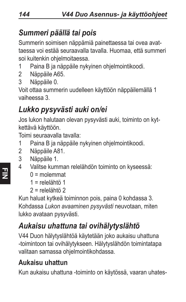# <span id="page-143-0"></span>*Summeri päällä tai pois*

Summerin soimisen näppämiä painettaessa tai ovea avattaessa voi estää seuraavalla tavalla. Huomaa, että summeri soi kuitenkin ohjelmoitaessa.

- 1 Paina B ja näppäile nykyinen ohjelmointikoodi.
- 2 Näppäile A65.<br>3 Näppäile 0
- Näppäile 0.

Voit ottaa summerin uudelleen käyttöön näppäilemällä 1 vaiheessa 3.

### *Lukko pysyvästi auki on/ei*

Jos lukon halutaan olevan pysyvästi auki, toiminto on kytkettävä käyttöön.

Toimi seuraavalla tavalla:

- 1 Paina B ja näppäile nykyinen ohjelmointikoodi.
- 2 Näppäile A81.
- 3 Näppäile 1.
- 4 Valitse kumman relelähdön toiminto on kyseessä:
	- $0 = \text{molemmat}$
	- 1 = relelähtö 1
	- 2 = relelähtö 2

Kun haluat kytkeä toiminnon pois, paina 0 kohdassa 3. Kohdassa *Lukon avaaminen pysyvästi* neuvotaan, miten lukko avataan pysyvästi.

# *Aukaisu uhattuna tai ovihälytyslähtö*

V44 Duon hälytyslähtöä käytetään joko aukaisu uhattuna -toimintoon tai ovihälytykseen. Hälytyslähdön toimintatapa valitaan samassa ohjelmointikohdassa.

#### **Aukaisu uhattun**

Kun aukaisu uhattuna -toiminto on käytössä, vaaran uhates-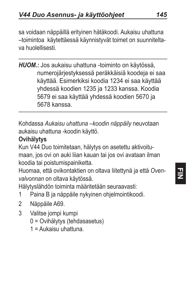sa voidaan näppäillä erityinen hätäkoodi. Aukaisu uhattuna –toimintoa käytettäessä käynnistyvät toimet on suunniteltava huolellisesti.

*HUOM.:* Jos aukaisu uhattuna -toiminto on käytössä, numerojärjestyksessä peräkkäisiä koodeja ei saa käyttää. Esimerkiksi koodia 1234 ei saa käyttää yhdessä koodien 1235 ja 1233 kanssa. Koodia 5679 ei saa käyttää yhdessä koodien 5670 ja 5678 kanssa.

Kohdassa *Aukaisu uhattuna –koodin näppäily* neuvotaan aukaisu uhattuna -koodin käyttö.

#### **Ovihälytys**

Kun V44 Duo toimitetaan, hälytys on asetettu aktivoitumaan, jos ovi on auki lijan kauan tai jos ovi avataan ilman koodia tai poistumispainiketta.

Huomaa, että ovikontaktien on oltava liitettynä ja että *Ovenvalvonnan* on oltava käytössä.

Hälytyslähdön toiminta määritetään seuraavasti:

- 1 Paina B ja näppäile nykyinen ohjelmointikoodi.
- 2 Näppäile A69.
- 3 Valitse jompi kumpi
	- 0 = Ovihälytys (tehdasasetus)
	- 1 = Aukaisu uhattuna.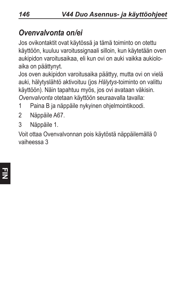# *Ovenvalvonta on/ei*

Jos ovikontaktit ovat käytössä ja tämä toiminto on otettu käyttöön, kuuluu varoitussignaali silloin, kun käytetään oven aukipidon varoitusaikaa, eli kun ovi on auki vaikka aukioloaika on päättynyt.

Jos oven aukipidon varoitusaika päättyy, mutta ovi on vielä auki, hälytyslähtö aktivoituu (jos *Hälytys*-toiminto on valittu käyttöön). Näin tapahtuu myös, jos ovi avataan väkisin. *Ovenvalvonta* otetaan käyttöön seuraavalla tavalla:

- 1 Paina B ja näppäile nykyinen ohjelmointikoodi.
- 2 Näppäile A67.
- 3 Näppäile 1.

Voit ottaa Ovenvalvonnan pois käytöstä näppäilemällä 0 vaiheessa 3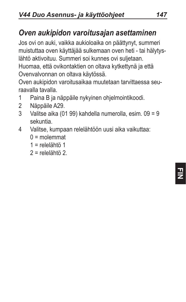## *Oven aukipidon varoitusajan asettaminen*

Jos ovi on auki, vaikka aukioloaika on päättynyt, summeri muistuttaa oven käyttäjää sulkemaan oven heti - tai hälytyslähtö aktivoituu. Summeri soi kunnes ovi suljetaan.

Huomaa, että ovikontaktien on oltava kytkettynä ja että Ovenvalvonnan on oltava käytössä.

Oven aukipidon varoitusaikaa muutetaan tarvittaessa seuraavalla tavalla.

- 1 Paina B ja näppäile nykyinen ohjelmointikoodi.
- 2 Näppäile A29.<br>3 Valitse aika (0
- 3 Valitse aika (01 99) kahdella numerolla, esim. 09 = 9 sekuntia.
- 4 Valitse, kumpaan relelähtöön uusi aika vaikuttaa:
	- $0 = \text{molemmat}$
	- 1 = relelähtö 1
	- 2 = relelähtö 2.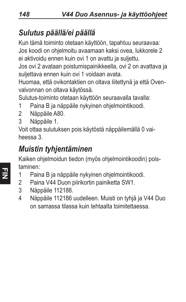# *Sulutus päällä/ei päällä*

Kun tämä toiminto otetaan käyttöön, tapahtuu seuraavaa:

Jos koodi on ohjelmoitu avaamaan kaksi ovea, lukkorele 2 ei aktivoidu ennen kuin ovi 1 on avattu ja suljettu.

Jos ovi 2 avataan poistumispainikkeella, ovi 2 on avattava ja suljettava ennen kuin ovi 1 voidaan avata.

Huomaa, että ovikontaktien on oltava liitettynä ja että Ovenvalvonnan on oltava käytössä.

Sulutus-toiminto otetaan käyttöön seuraavalla tavalla:

- 1 Paina B ja näppäile nykyinen ohjelmointikoodi.
- 2 Näppäile A80.<br>3 Näppäile 1
- Näppäile 1.

Voit ottaa sulutuksen pois käytöstä näppäilemällä 0 vaiheessa 3.

# *Muistin tyhjentäminen*

Kaiken ohjelmoidun tiedon (myös ohjelmointikoodin) poistaminen:

- 1 Paina B ja näppäile nykyinen ohjelmointikoodi.
- 2 Paina V44 Duon piirikortin painiketta SW1.<br>3 Näppäile 112186.
- Näppäile 112186.
- 4 Näppäile 112186 uudelleen. Muisti on tyhjä ja V44 Duo on samassa tilassa kuin tehtaalta toimitettaessa.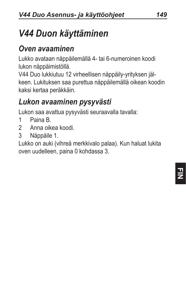# *V44 Duon käyttäminen*

### *Oven avaaminen*

Lukko avataan näppäilemällä 4- tai 6-numeroinen koodi lukon näppäimistöllä.

V44 Duo lukkiutuu 12 virheellisen näppäily-yrityksen jälkeen. Lukituksen saa purettua näppäilemällä oikean koodin kaksi kertaa peräkkäin.

## *Lukon avaaminen pysyvästi*

Lukon saa avattua pysyvästi seuraavalla tavalla:

- 1 Paina B.
- 2 Anna oikea koodi.<br>3 Nännäile 1
- Näppäile 1

Lukko on auki (vihreä merkkivalo palaa). Kun haluat lukita oven uudelleen, paina 0 kohdassa 3.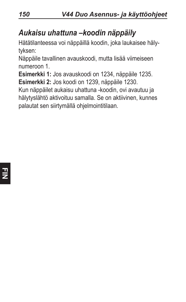# *Aukaisu uhattuna –koodin näppäily*

Hätätilanteessa voi näppäillä koodin, joka laukaisee hälytyksen:

Näppäile tavallinen avauskoodi, mutta lisää viimeiseen numeroon 1.

**Esimerkki 1:** Jos avauskoodi on 1234, näppäile 1235. **Esimerkki 2:** Jos koodi on 1239, näppäile 1230.

Kun näppäilet aukaisu uhattuna -koodin, ovi avautuu ja hälytyslähtö aktivoituu samalla. Se on aktiivinen, kunnes palautat sen siirtymällä ohjelmointitilaan.

**FIN**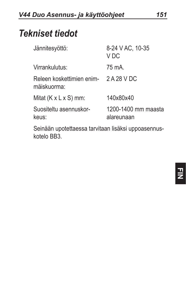# *Tekniset tiedot*

| Jännitesyöttö:                                      | 8-24 V AC, 10-35<br>V DC          |
|-----------------------------------------------------|-----------------------------------|
| Virrankulutus:                                      | 75 mA                             |
| Releen koskettimien enim-<br>mäiskuorma:            | 2 A 28 V DC                       |
| Mitat $(K \times L \times S)$ mm:                   | 140x80x40                         |
| Suositeltu asennuskor-<br>keus:                     | 1200-1400 mm maasta<br>alareunaan |
| Seinään upotettaessa tarvitaan lisäksi uppoasennus- |                                   |

kotelo BB3.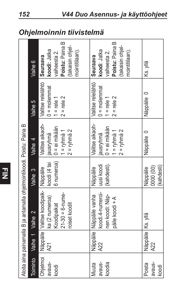Aloita aina painamalla B ja antamalla ohjelmointikoodi. Poistu: Paina B<br>Toiminto – Vaihe 2 – Vaihe 3 – Vaihe 4 – Valitse reletativo – Vaihe 6<br>Ohjelmoi | Näppäile | vaihe 2 – Vaihe 3 – Vaites aikaoh – Valitse reletativo | S Poistu: Paina B **Poistu:** Paina B takaisin ohjel-(takaisin ohjel**koodi**: Jatka vaiheesta 2. mointitilaan). mointitilaan). vaiheesta 2. **Seuraava**  Ks. yllä Näppäile 0 Näppäile 0 Ks. yllä Valitse relelähtö 0 = molemmat Näppäile 0  $2$  = rele  $2$  $1 =$  rele 1 Näppäile vanha Näppäile Valitse aikaoh- jausryhmä eodi jausryhmä eodi jausryhmä ryhmä 1 = ei mikään 1 = ei mikään 1 = ei mikään 1 = ei mikään 1 = ei mikään 1 = ei mikään 1 = ei mikään 1 = ryhmä 1 =  $2 =$  ryhmä 2 Näppäile 0 (kahdesti) Ks. yllä Näppäile 0000 (00) Näppäile Muuta Näppäile Näppäile vanha<br>avaus- A22 koodi.4-numeroi-<br>koodia nen koodi: Näp-Ks. yllä Näppäile A22 Poista avauskoodi

#### *Ohjelmoinnin tiivistelmä*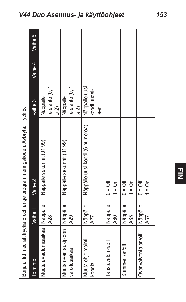|                                       |                        | Börja alltid med att trycka B och ange programmeringskoden. Avbryta: Tryck B. |                                       |         |         |
|---------------------------------------|------------------------|-------------------------------------------------------------------------------|---------------------------------------|---------|---------|
| Toiminto                              | Vaihe 1                | Vaihe 2                                                                       | Vaihe 3                               | Vaihe 4 | Vaihe 5 |
| Muuta avautumisaikaa Näppäile         | A28                    | Näppäile sekunnit (01 99)                                                     | relelähtö (0, 1<br>Näppäile<br>tai2)  |         |         |
| Muuta oven aukipidon<br>varoitusaikaa | Näppäile<br><b>A29</b> | Näppäile sekunnit (01 99)                                                     | relelähtö (0, 1<br>Näppäile<br>tail2  |         |         |
| Muuta ohjelmointi-<br>koodia          | Näppäile<br><b>A27</b> | Näppäile uusi koodi (6 numeroa)                                               | Näppäile uusi<br>koodi uudel-<br>leen |         |         |
| Taustavalo on/off                     | Näppäile<br>A60        | $0 = 0$<br>ອົ<br>"                                                            |                                       |         |         |
| Summeri on/off                        | Näppäile<br>A65        | $0 = \bigcirc$<br>$\frac{5}{1}$                                               |                                       |         |         |
| Ovenvalvonta on/off                   | Näppäile<br>A67        | $0 = \bigcirc$<br><u>န</u>                                                    |                                       |         |         |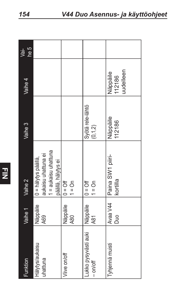| <b>Funktion</b>                    | Vaihe 1                | Vaihe <sub>2</sub>                                                                       | Vaihe 3                       | Vaihe 4                         | he 5<br>yai- |
|------------------------------------|------------------------|------------------------------------------------------------------------------------------|-------------------------------|---------------------------------|--------------|
| <b>Hälytys/aukaisu</b><br>uhattuna | Näppäile<br>A69        | 1 = aukaisu uhattuna<br>aukaisu uhattuna ei<br>0 = hälytys päällä,<br>päällä, hälytys ei |                               |                                 |              |
| Viive on/off                       | Näppäile<br>80         | $0 = \bigcirc$<br>$1 = 0n$                                                               |                               |                                 |              |
| Lukko pysyvästi auki<br>$-$ on/off | Näppäile<br>A81        | $0 = Off$<br>$1 = 0n$                                                                    | Syötä rele-lähtö<br>(0, 1, 2) |                                 |              |
| Tyhjennä muisti                    | Avaa V44<br><b>Buo</b> | Paina SW1 piiri-<br>kortilla                                                             | Näppäile<br>112186            | uudelleen<br>Näppäile<br>112186 |              |

**FIN**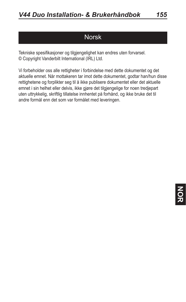#### Norsk

Tekniske spesifikasjoner og tilgjengelighet kan endres uten forvarsel. © Copyright Vanderbilt International (IRL) Ltd.

Vi forbeholder oss alle rettigheter i forbindelse med dette dokumentet og det aktuelle emnet. Når mottakeren tar imot dette dokumentet, godtar han/hun disse rettighetene og forplikter seg til å ikke publisere dokumentet eller det aktuelle emnet i sin helhet eller delvis, ikke gjøre det tilgjengelige for noen tredjepart uten uttrykkelig, skriftlig tillatelse innhentet på forhånd, og ikke bruke det til andre formål enn det som var formålet med leveringen.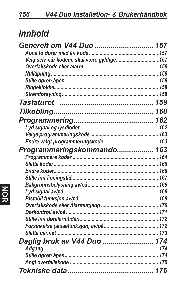# **Innhold**

| Generelt om V44 Duo  157                   |  |
|--------------------------------------------|--|
|                                            |  |
| Velg selv når kodene skal være gyldige 157 |  |
|                                            |  |
|                                            |  |
|                                            |  |
|                                            |  |
|                                            |  |
|                                            |  |
|                                            |  |
|                                            |  |
|                                            |  |
|                                            |  |
|                                            |  |
|                                            |  |
| Programmeringskommando 163                 |  |
|                                            |  |
|                                            |  |
|                                            |  |
|                                            |  |
|                                            |  |
|                                            |  |
|                                            |  |
|                                            |  |
|                                            |  |
|                                            |  |
|                                            |  |
|                                            |  |
| Daglig bruk av V44 Duo  174                |  |
|                                            |  |
|                                            |  |
|                                            |  |
|                                            |  |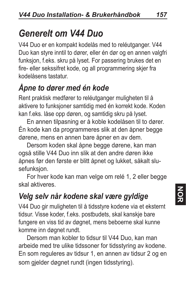## <span id="page-156-0"></span>*Generelt om V44 Duo*

V44 Duo er en kompakt kodelås med to reléutganger. V44 Duo kan styre inntil to dører, eller én dør og en annen valgfri funksjon, f.eks. skru på lyset. For passering brukes det en fire- eller sekssifret kode, og all programmering skjer fra kodelåsens tastatur.

#### *Åpne to dører med én kode*

Rent praktisk medfører to reléutganger muligheten til å aktivere to funksjoner samtidig med én korrekt kode. Koden kan f.eks. låse opp døren, og samtidig skru på lyset.

En annen tilpasning er å koble kodelåsen til to dører. Én kode kan da programmeres slik at den åpner begge dørene, mens en annen bare åpner en av dem.

Dersom koden skal åpne begge dørene, kan man også stille V44 Duo inn slik at den andre døren ikke åpnes før den første er blitt åpnet og lukket, såkalt slusefunksjon.

For hver kode kan man velge om relé 1, 2 eller begge skal aktiveres.

#### *Velg selv når kodene skal være gyldige*

V44 Duo gir muligheten til å tidsstyre kodene via et eksternt tidsur. Visse koder, f.eks. postbudets, skal kanskje bare fungere en viss tid av døgnet, mens beboerne skal kunne komme inn døgnet rundt.

Dersom man kobler to tidsur til V44 Duo, kan man arbeide med tre ulike tidssoner for tidsstyring av kodene. En som reguleres av tidsur 1, en annen av tidsur 2 og en som gjelder døgnet rundt (ingen tidsstyring).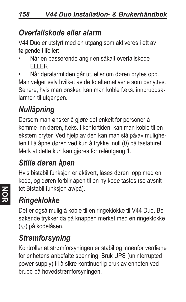# *Overfallskode eller alarm*

V44 Duo er utstyrt med en utgang som aktiveres i ett av følgende tilfeller:

• Når en passerende angir en såkalt overfallskode ELLER

• Når døralarmtiden går ut, eller om døren brytes opp. Man velger selv hvilket av de to alternativene som benyttes. Senere, hvis man ønsker, kan man koble f.eks. innbruddsalarmen til utgangen.

# *Nullåpning*

Dersom man ønsker å gjøre det enkelt for personer å komme inn døren, f.eks. i kontortiden, kan man koble til en ekstern bryter. Ved hjelp av den kan man slå på/av muligheten til å åpne døren ved kun å trykke null (0) på tastaturet. Merk at dette kun kan gjøres for reléutgang 1.

# *Stille døren åpen*

Hvis bistabil funksjon er aktivert, låses døren opp med en kode, og døren forblir åpen til en ny kode tastes (se avsnittet Bistabil funksjon av/på).

# NO<br>RO<br>R

# *Ringeklokke*

Det er også mulig å koble til en ringeklokke til V44 Duo. Besøkende trykker da på knappen merket med en ringeklokke (%) på kodelåsen.

# *Strømforsyning*

Kontroller at strømforsyningen er stabil og innenfor verdiene for enhetens anbefalte spenning. Bruk UPS (uninterrupted power supply) til å sikre kontinuerlig bruk av enheten ved brudd på hovedstrømforsyningen.

<span id="page-157-0"></span>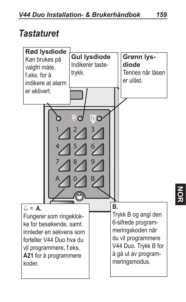## <span id="page-158-0"></span>*Tastaturet*

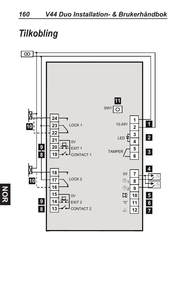# <span id="page-159-0"></span>*Tilkobling*

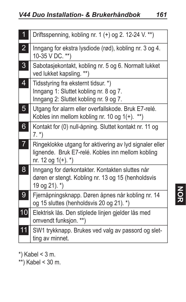| 1              | Driftsspenning, kobling nr. 1 $(+)$ og 2. 12-24 V. **)                                                                             |
|----------------|------------------------------------------------------------------------------------------------------------------------------------|
| $\overline{2}$ | Inngang for ekstra lysdiode (rød), kobling nr. 3 og 4.<br>10-35 V DC. **)                                                          |
| 3              | Sabotasjekontakt, kobling nr. 5 og 6. Normalt lukket<br>ved lukket kapsling. **)                                                   |
| 4              | Tidsstyring fra eksternt tidsur. *)<br>Inngang 1: Sluttet kobling nr. 8 og 7.<br>Inngang 2: Sluttet kobling nr. 9 og 7.            |
| 5              | Utgang for alarm eller overfallskode. Bruk E7-relé.<br>Kobles inn mellom kobling nr. 10 og $1(+)$ . **)                            |
| 6              | Kontakt for (0) null-åpning. Sluttet kontakt nr. 11 og<br>$7.*)$                                                                   |
| 7              | Ringeklokke utgang for aktivering av lyd signaler eller<br>lignende. Bruk E7-relé. Kobles inn mellom kobling<br>nr. 12 og 1(+). *) |
| 8              | Inngang for dørkontakter. Kontakten sluttes når<br>døren er stengt. Kobling nr. 13 og 15 (henholdsvis<br>19 og 21). *)             |
| 9              | Fjernåpningsknapp. Døren åpnes når kobling nr. 14<br>og 15 sluttes (henholdsvis 20 og 21). *)                                      |
| 10             | Elektrisk lås. Den stiplede linjen gjelder lås med<br>omvendt funksjon. **)                                                        |
| 11             | SW1 trykknapp. Brukes ved valg av passord og slet-<br>ting av minnet.                                                              |

- \*) Kabel < 3 m.
- \*\*) Kabel < 30 m.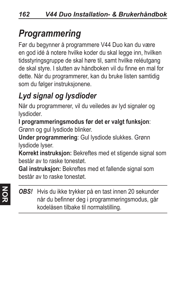# <span id="page-161-0"></span>*Programmering*

Før du begynner å programmere V44 Duo kan du være en god idé å notere hvilke koder du skal legge inn, hvilken tidsstyringsgruppe de skal høre til, samt hvilke reléutgang de skal styre. I slutten av håndboken vil du finne en mal for dette. Når du programmerer, kan du bruke listen samtidig som du følger instruksjonene.

# *Lyd signal og lysdioder*

Når du programmerer, vil du veiledes av lyd signaler og lysdioder.

**I programmeringsmodus før det er valgt funksjon**: Grønn og gul lysdiode blinker.

**Under programmering**: Gul lysdiode slukkes. Grønn lysdiode lyser.

**Korrekt instruksjon:** Bekreftes med et stigende signal som består av to raske tonestøt.

**Gal instruksjon:** Bekreftes med et fallende signal som består av to raske tonestøt.

*OBS!* Hvis du ikke trykker på en tast innen 20 sekunder når du befinner deg i programmeringsmodus, går kodelåsen tilbake til normalstilling.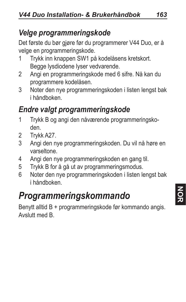#### <span id="page-162-0"></span>*Velge programmeringskode*

Det første du bør gjøre før du programmerer V44 Duo, er å velge en programmeringskode.

- 1 Trykk inn knappen SW1 på kodelåsens kretskort. Begge lysdiodene lyser vedvarende.
- 2 Angi en programmeringskode med 6 sifre. Nå kan du programmere kodelåsen.
- 3 Noter den nye programmeringskoden i listen lengst bak i håndboken.

### *Endre valgt programmeringskode*

- 1 Trykk B og angi den nåværende programmeringskoden.
- 2 Trykk A27.<br>3 Angi den n
- 3 Angi den nye programmeringskoden. Du vil nå høre en varseltone.
- 4 Angi den nye programmeringskoden en gang til.<br>5 Trykk B for å gå ut av programmeringsmodus.
- 5 Trykk B for å gå ut av programmeringsmodus.
- 6 Noter den nye programmeringskoden i listen lengst bak i håndboken.

# *Programmeringskommando*

Benytt alltid B + programmeringskode før kommando angis. Avslutt med B.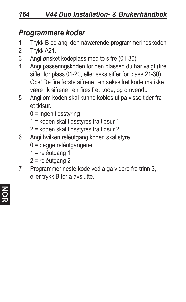## <span id="page-163-0"></span>*Programmere koder*

- 1 Trykk B og angi den nåværende programmeringskoden
- 2 Trykk A21.
- 3 Angi ønsket kodeplass med to sifre (01-30).
- 4 Angi passeringskoden for den plassen du har valgt (fire siffer for plass 01-20, eller seks siffer for plass 21-30). Obs! De fire første sifrene i en sekssifret kode må ikke være lik sifrene i en firesifret kode, og omvendt.
- 5 Angi om koden skal kunne kobles ut på visse tider fra et tidsur.
	- 0 = ingen tidsstyring
	- 1 = koden skal tidsstyres fra tidsur 1
	- 2 = koden skal tidsstyres fra tidsur 2
- 6 Angi hvilken reléutgang koden skal styre.
	- 0 = begge reléutgangene
	- 1 = reléutgang 1
	- 2 = reléutgang 2
- 7 Programmer neste kode ved å gå videre fra trinn 3, eller trykk B for å avslutte.

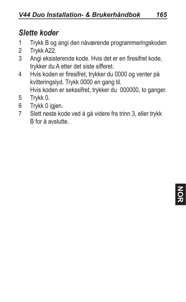#### <span id="page-164-0"></span>*Slette koder*

- 1 Trykk B og angi den nåværende programmeringskoden
- 2 Trykk A22.
- 3 Angi eksisterende kode. Hvis det er en firesifret kode, trykker du A etter det siste sifferet.
- 4 Hvis koden er firesifret, trykker du 0000 og venter på kvitteringslyd. Trykk 0000 en gang til.
	- Hvis koden er sekssifret, trykker du 000000, to ganger.
- 5 Trykk 0.
- 6 Trykk 0 igjen.<br>7 Slett neste ko
- 7 Slett neste kode ved å gå videre fra trinn 3, eller trykk B for å avslutte.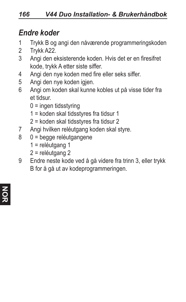# <span id="page-165-0"></span>*Endre koder*

- 1 Trykk B og angi den nåværende programmeringskoden
- 2 Trykk A22.
- 3 Angi den eksisterende koden. Hvis det er en firesifret kode, trykk A etter siste siffer.
- 4 Angi den nye koden med fire eller seks siffer.<br>5 Angi den nye koden jajen.
- 5 Angi den nye koden igjen.<br>6 Angi om koden skal kunne
- 6 Angi om koden skal kunne kobles ut på visse tider fra et tidsur.
	- 0 = ingen tidsstyring
	- 1 = koden skal tidsstyres fra tidsur 1
	- 2 = koden skal tidsstyres fra tidsur 2
- 7 Angi hvilken reléutgang koden skal styre.
- 8 0 = begge reléutgangene
	- 1 = reléutgang 1
	- 2 = reléutgang 2
- 9 Endre neste kode ved å gå videre fra trinn 3, eller trykk B for å gå ut av kodeprogrammeringen.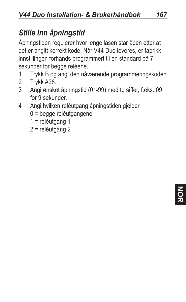# <span id="page-166-0"></span>*Stille inn åpningstid*

Åpningstiden regulerer hvor lenge låsen står åpen etter at det er angitt korrekt kode. Når V44 Duo leveres, er fabrikkinnstillingen forhånds programmert til en standard på 7 sekunder for begge reléene.

- 1 Trykk B og angi den nåværende programmeringskoden
- 2 Trykk A28.<br>3 Angi anske
- Angi ønsket åpningstid (01-99) med to siffer, f.eks. 09 for 9 sekunder.
- 4 Angi hvilken reléutgang åpningstiden gjelder.
	- 0 = begge reléutgangene

$$
1 =
$$
reléutgang 1

2 = reléutgang 2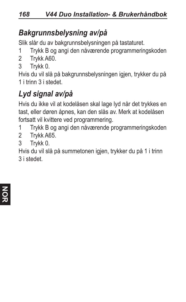# <span id="page-167-0"></span>*Bakgrunnsbelysning av/på*

Slik slår du av bakgrunnsbelysningen på tastaturet.

- 1 Trykk B og angi den nåværende programmeringskoden
- 2 Trykk A60.
- 3 Trykk 0.

Hvis du vil slå på bakgrunnsbelysningen igjen, trykker du på 1 i trinn 3 i stedet.

# *Lyd signal av/på*

Hvis du ikke vil at kodelåsen skal lage lyd når det trykkes en tast, eller døren åpnes, kan den slås av. Merk at kodelåsen fortsatt vil kvittere ved programmering.

1 Trykk B og angi den nåværende programmeringskoden

- 2 Trykk A65.
- 3 Trykk 0.

Hvis du vil slå på summetonen igjen, trykker du på 1 i trinn 3 i stedet.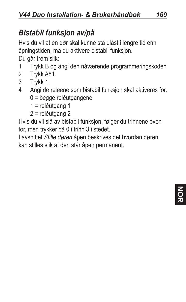## <span id="page-168-0"></span>*Bistabil funksjon av/på*

Hvis du vil at en dør skal kunne stå ulåst i lengre tid enn åpningstiden, må du aktivere bistabil funksjon.

Du går frem slik:

- 1 Trykk B og angi den nåværende programmeringskoden
- 2 Trykk A81.
- 3 Trykk 1.
- 4 Angi de releene som bistabil funksjon skal aktiveres for. 0 = begge reléutgangene
	- 1 = reléutgang 1
	- 2 = reléutgang 2

Hvis du vil slå av bistabil funksjon, følger du trinnene ovenfor, men trykker på 0 i trinn 3 i stedet.

I avsnittet *Stille døren* åpen beskrives det hvordan døren kan stilles slik at den står åpen permanent.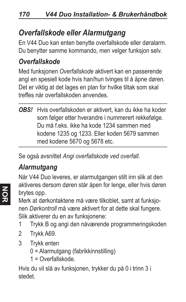# <span id="page-169-0"></span>*Overfallskode eller Alarmutgang*

En V44 Duo kan enten benytte overfallskode eller døralarm. Du benytter samme kommando, men velger funksjon selv.

#### *Overfallskode*

Med funksjonen *Overfallskode* aktivert kan en passerende angi en spesiell kode hvis han/hun tvinges til å åpne døren. Det er viktig at det lages en plan for hvilke tiltak som skal treffes når overfallskoden anvendes.

*OBS!* Hvis overfallskoden er aktivert, kan du ikke ha koder som følger etter hverandre i nummerert rekkefølge. Du må f.eks. ikke ha kode 1234 sammen med kodene 1235 og 1233. Eller koden 5679 sammen med kodene 5670 og 5678 etc.

Se også avsnittet *Angi overfallskode ved overfall*.

#### *Alarmutgang*

Når V44 Duo leveres, er alarmutgangen stilt inn slik at den aktiveres dersom døren står åpen for lenge, eller hvis døren brytes opp.

Merk at dørkontaktene må være tilkoblet, samt at funksjonen *Dørkontroll* må være aktivert for at dette skal fungere. Slik aktiverer du en av funksjonene:

- 1 Trykk B og angi den nåværende programmeringskoden
- 2 Trykk A69.
- 3 Trykk enten
	- 0 = Alarmutgang (fabrikkinnstilling)
	- 1 = Overfallskode.

Hvis du vil slå av funksjonen, trykker du på 0 i trinn 3 i stedet.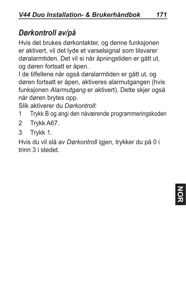## <span id="page-170-0"></span>*Dørkontroll av/på*

Hvis det brukes dørkontakter, og denne funksjonen er aktivert, vil det lyde et varselsignal som tilsvarer døralarmtiden. Det vil si når åpningstiden er gått ut, og døren fortsatt er åpen.

I de tilfellene når også døralarmtiden er gått ut, og døren fortsatt er åpen, aktiveres alarmutgangen (hvis funksjonen *Alarmutgang* er aktivert). Dette skjer også når døren brytes opp.

Slik aktiverer du *Dørkontroll*:

1 Trykk B og angi den nåværende programmeringskoden

- 2 Trykk A67.
- 3 Trykk 1.

Hvis du vil slå av *Dørkontroll* igjen, trykker du på 0 i trinn 3 i stedet.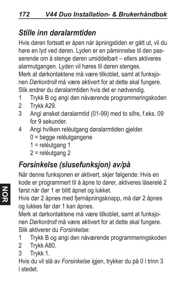# <span id="page-171-0"></span>*Stille inn døralarmtiden*

Hvis døren fortsatt er åpen når åpningstiden er gått ut, vil du høre en lyd ved døren. Lyden er en påminnelse til den passerende om å stenge døren umiddelbart – ellers aktiveres alarmutgangen. Lyden vil høres til døren stenges.

Merk at dørkontaktene må være tilkoblet, samt at funksjonen *Dørkontroll* må være aktivert for at dette skal fungere. Slik endrer du døralarmtiden hvis det er nødvendig.

- 1 Trykk B og angi den nåværende programmeringskoden
- 2 Trykk A29.<br>3 Angi anske
- 3 Angi ønsket døralarmtid (01-99) med to sifre, f.eks. 09 for 9 sekunder.
- 4 Angi hvilken reléutgang døralarmtiden gjelder.
	- 0 = begge reléutgangene
	- 1 = reléutgang 1
	- 2 = reléutgang 2

# *Forsinkelse (slusefunksjon) av/på*

Når denne funksjonen er aktivert, skjer følgende: Hvis en kode er programmert til å åpne to dører, aktiveres låserelé 2 først når dør 1 er blitt åpnet og lukket.

Hvis dør 2 åpnes med fjernåpningsknapp, må dør 2 åpnes og lukkes før dør 1 kan åpnes.

Merk at dørkontaktene må være tilkoblet, samt at funksjonen *Dørkontroll* må være aktivert for at dette skal fungere. Slik aktiverer du *Forsinkelse*:

- 1 Trykk B og angi den nåværende programmeringskoden
- 2 Trykk A80.
- 3 Trykk 1.

Hvis du vil slå av *Forsinkelse* igjen, trykker du på 0 i trinn 3 i stedet.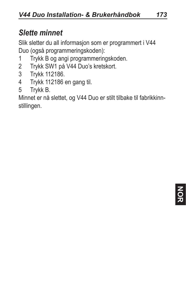## <span id="page-172-0"></span>*Slette minnet*

Slik sletter du all informasjon som er programmert i V44 Duo (også programmeringskoden):

- 1 Trykk B og angi programmeringskoden.
- 2 Trykk SW1 på V44 Duo's kretskort.
- 3 Trykk 112186.
- 4 Trykk 112186 en gang til.
- 5 Trykk B.

Minnet er nå slettet, og V44 Duo er stilt tilbake til fabrikkinnstillingen.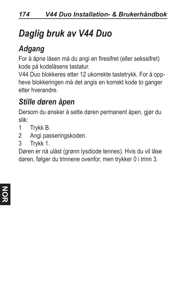# <span id="page-173-0"></span>*Daglig bruk av V44 Duo*

# *Adgang*

For å åpne låsen må du angi en firesifret (eller sekssifret) kode på kodelåsens tastatur.

V44 Duo blokkeres etter 12 ukorrekte tastetrykk. For å oppheve blokkeringen må det angis en korrekt kode to ganger etter hverandre.

## *Stille døren åpen*

Dersom du ønsker å sette døren permanent åpen, gjør du slik:

- 1 Trykk B.
- 2 Angi passeringskoden.<br>3 Trykk 1
- Trykk 1.

Døren er nå ulåst (grønn lysdiode tennes). Hvis du vil låse døren, følger du trinnene ovenfor, men trykker 0 i trinn 3.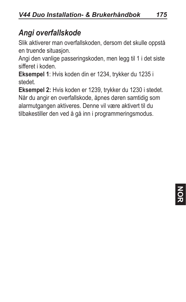#### <span id="page-174-0"></span>*Angi overfallskode*

Slik aktiverer man overfallskoden, dersom det skulle oppstå en truende situasion.

Angi den vanlige passeringskoden, men legg til 1 i det siste sifferet i koden.

**Eksempel 1**: Hvis koden din er 1234, trykker du 1235 i stedet.

**Eksempel 2:** Hvis koden er 1239, trykker du 1230 i stedet. Når du angir en overfallskode, åpnes døren samtidig som alarmutgangen aktiveres. Denne vil være aktivert til du tilbakestiller den ved å gå inn i programmeringsmodus.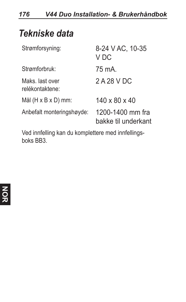# <span id="page-175-0"></span>*Tekniske data*

| 8-24 V AC, 10-35<br>V DC                |
|-----------------------------------------|
| 75 mA.                                  |
| 2 A 28 V DC                             |
| 140 x 80 x 40                           |
| 1200-1400 mm fra<br>bakke til underkant |
|                                         |

Ved innfelling kan du komplettere med innfellingsboks BB3.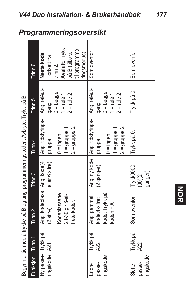|                                     |                 |                                                                                                    |                                 | Begynn alltid med å trykke på B og angi programmeringskoden. Avbryte: Trykk på B.              |                                                                            |                                                                                                              |  |
|-------------------------------------|-----------------|----------------------------------------------------------------------------------------------------|---------------------------------|------------------------------------------------------------------------------------------------|----------------------------------------------------------------------------|--------------------------------------------------------------------------------------------------------------|--|
| Funksjon Trinn 1                    |                 | Trinn <sub>2</sub>                                                                                 | Trinn 3                         | Trinn 4                                                                                        | $\overline{\lim}$ 5                                                        | Trinn 6                                                                                                      |  |
| Ny passe- Trykk på<br>ringskode A21 |                 | Angi kodeplass   Angi kode(4<br>Kodeplassene<br>21-30 gir 6-si-<br>frete koder.<br>$(2 s$ ifre $)$ | eller 6 sifre)                  | Angi tidstyrings-<br>$2 =$ gruppe 2<br>$1 =$ gruppe $1$<br>$0 = ingen$<br>gruppe               | Angi reléut-<br>$0 = \text{begge}$<br>$2 =$ relé 2<br>$1 =$ relé 1<br>gang | til programme-<br>Avslutt: Trykk<br>på B (tilbake<br>ringsmodus).<br>Neste kode:<br>Fortsett fra<br>trinn 2. |  |
| ringskode<br>passe-<br>Endre        | Trykk på<br>A22 | kode: Trykk på<br>Angi gammel<br>kode.4-sifret<br>koden + A                                        | 2 ganger)                       | Angi ny kode   Angi tidstyrings-<br>$2 =$ gruppe $2$<br>$1 = 9$ ruppe<br>$0 = ingen$<br>gruppe | Angi reléut-<br>$0 = \text{begge}$<br>$2 =$ relé 2<br>$1 =$ relé 1<br>gang | Som ovenfor                                                                                                  |  |
| ringskode<br>passe-<br>Slette       | Trykk på<br>A22 | Som oventor                                                                                        | Trykk0000<br>ganger)<br>(00)(2) | Trykk på 0.                                                                                    | Trykk på 0.                                                                | Som oventor                                                                                                  |  |

#### *Programmeringsoversikt*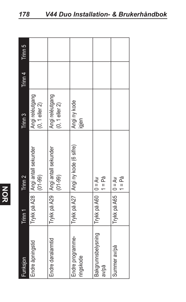| Funksjon                      | Trinn <sub>1</sub>          | Trinn <sub>2</sub>                               | Trinn <sub>3</sub>                    | Trinn <sub>4</sub> | Trinn 5 |
|-------------------------------|-----------------------------|--------------------------------------------------|---------------------------------------|--------------------|---------|
| Endre åpningstid              |                             | Trykk på A28   Angi antall sekunder<br>$(01-99)$ | Angi reléutgang<br>$(0, 1$ eller $2)$ |                    |         |
| Endre døralarmtid             |                             | Trykk på A29   Angi antall sekunder<br>$(01-99)$ | Angi reléutgang<br>$(0, 1$ eller $2)$ |                    |         |
| Endre programme-<br>ringskode |                             | Trykk på A27   Angi ny kode (6 sifre)            | Angi ny kode<br>igjen                 |                    |         |
| Bakgrunnsbelysning<br>aw/på   | Trykk på A60 $\vert 0 = Av$ | $1 = P\hat{a}$                                   |                                       |                    |         |
| Summer av/på                  | Trykk på A65 $\vert 0 = Av$ | $1 = P\hat{a}$                                   |                                       |                    |         |

**NOR**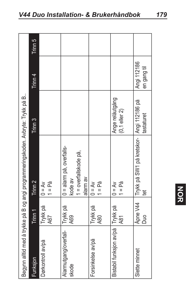|                                    |                    | Begynn alltid med å trykke på B og angi programmeringskoden. Avbryte: Trykk på B |                                     |                            |         |
|------------------------------------|--------------------|----------------------------------------------------------------------------------|-------------------------------------|----------------------------|---------|
| Funksjon                           | Trinn <sub>1</sub> | Trinn <sub>2</sub>                                                               | Trinn 3                             | Trinn 4                    | Trinn 5 |
| Dørkontroll av/på                  | Trykk på<br>A67    | $P_{\hat{a}} =$<br>$W = 0$                                                       |                                     |                            |         |
| Alarmutgang/overfall-<br>skode     | Trykk på<br>A69    | 0 = alarm på, overfalls-<br>1 = overfallskode på,<br>alarm av<br>kode av         |                                     |                            |         |
| Forsinkelse av/på                  | Trykk på<br>A80    | $I = P\AA$<br>$W = 0$                                                            |                                     |                            |         |
| Bistabil funksjon av/på   Trykk på | A81                | $1 = P\hat{a}$<br>$W = 0$                                                        | Ange reläutgång<br>$(0, 1$ eller 2) |                            |         |
| Slette minnet                      | Apne V44<br>Duo    | Trykk på SW1 på kretskor- Angi 112186 på<br>ē                                    | tastaturet                          | Angi 112186<br>en gang til |         |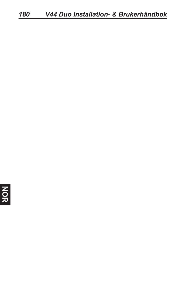